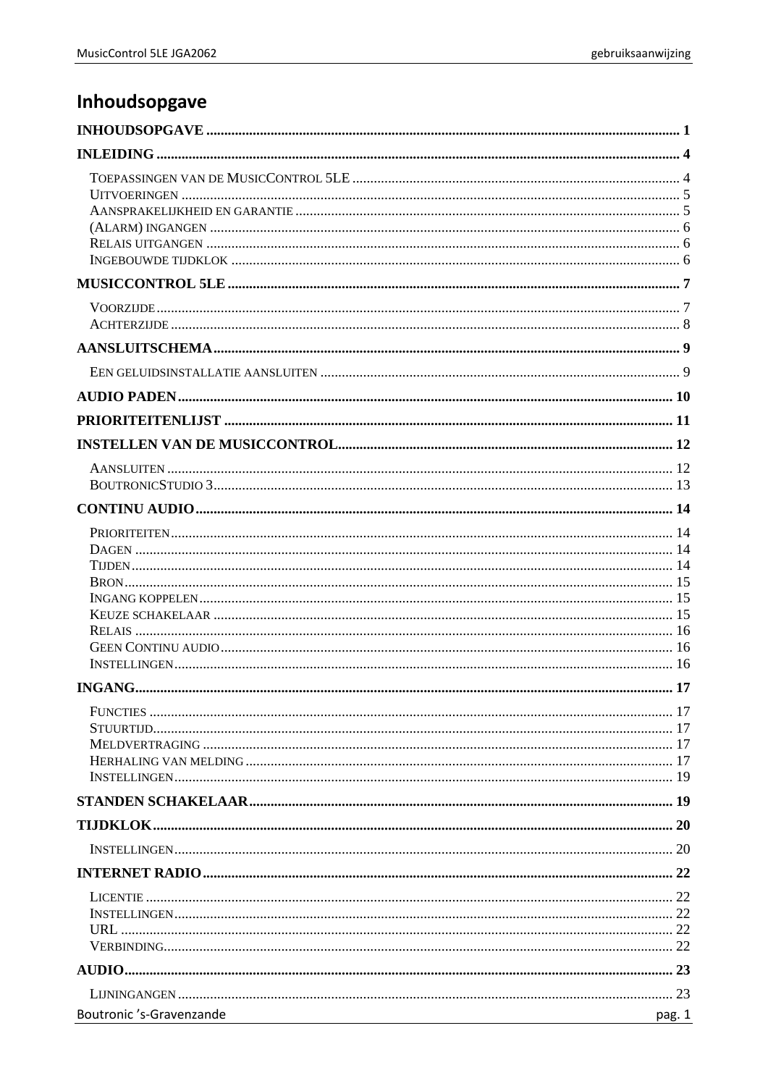# <span id="page-0-0"></span>Inhoudsopgave

| Boutronic 's-Gravenzande<br><u> 1980 - Jan James Barnett, fransk politik (d. 1980)</u> | pag. 1 |
|----------------------------------------------------------------------------------------|--------|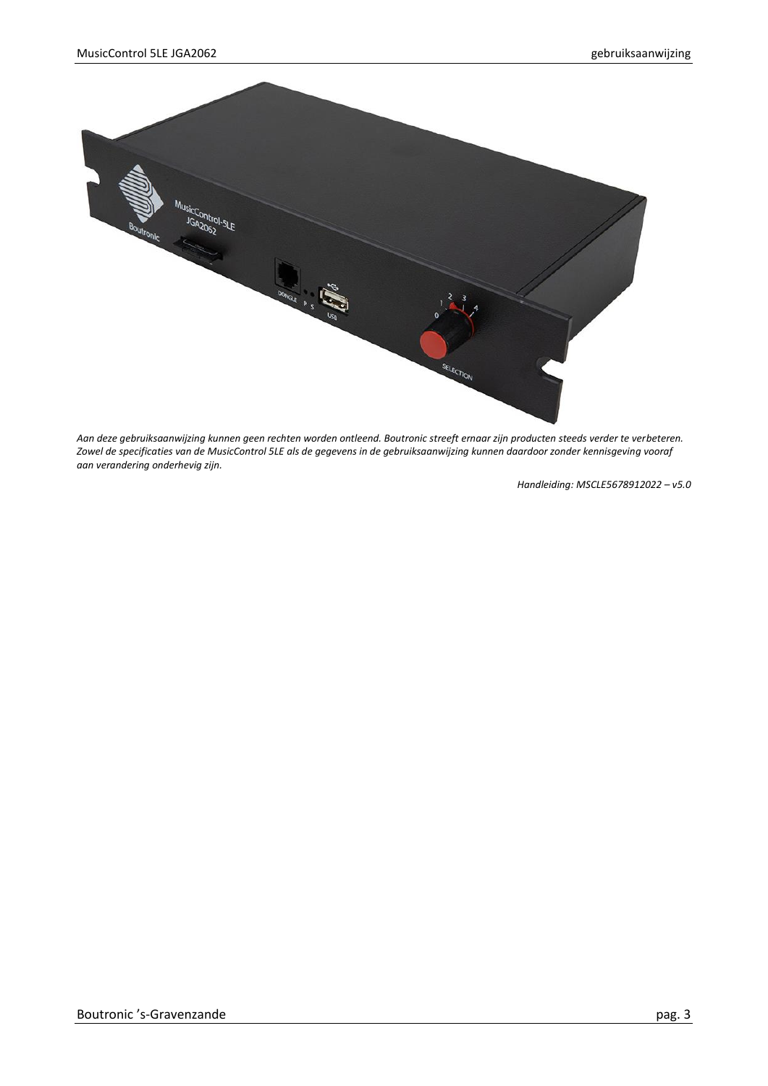

*Aan deze gebruiksaanwijzing kunnen geen rechten worden ontleend. Boutronic streeft ernaar zijn producten steeds verder te verbeteren. Zowel de specificaties van de MusicControl 5LE als de gegevens in de gebruiksaanwijzing kunnen daardoor zonder kennisgeving vooraf aan verandering onderhevig zijn.*

*Handleiding: MSCLE5678912022 – v5.0*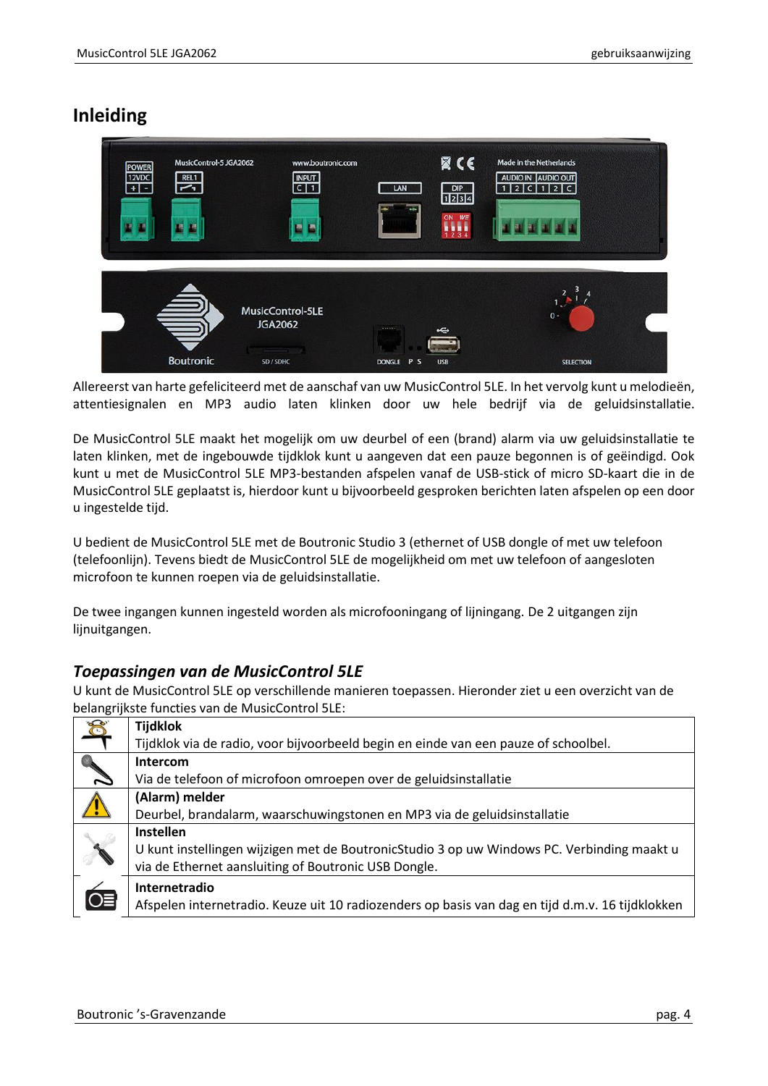# <span id="page-3-0"></span>**Inleiding**



Allereerst van harte gefeliciteerd met de aanschaf van uw MusicControl 5LE. In het vervolg kunt u melodieën, attentiesignalen en MP3 audio laten klinken door uw hele bedrijf via de geluidsinstallatie.

De MusicControl 5LE maakt het mogelijk om uw deurbel of een (brand) alarm via uw geluidsinstallatie te laten klinken, met de ingebouwde tijdklok kunt u aangeven dat een pauze begonnen is of geëindigd. Ook kunt u met de MusicControl 5LE MP3-bestanden afspelen vanaf de USB-stick of micro SD-kaart die in de MusicControl 5LE geplaatst is, hierdoor kunt u bijvoorbeeld gesproken berichten laten afspelen op een door u ingestelde tijd.

U bedient de MusicControl 5LE met de Boutronic Studio 3 (ethernet of USB dongle of met uw telefoon (telefoonlijn). Tevens biedt de MusicControl 5LE de mogelijkheid om met uw telefoon of aangesloten microfoon te kunnen roepen via de geluidsinstallatie.

De twee ingangen kunnen ingesteld worden als microfooningang of lijningang. De 2 uitgangen zijn liinuitgangen.

# <span id="page-3-1"></span>*Toepassingen van de MusicControl 5LE*

U kunt de MusicControl 5LE op verschillende manieren toepassen. Hieronder ziet u een overzicht van de belangrijkste functies van de MusicControl 5LE:

| Ó  | <b>Tijdklok</b>                                                                                  |
|----|--------------------------------------------------------------------------------------------------|
|    | Tijdklok via de radio, voor bijvoorbeeld begin en einde van een pauze of schoolbel.              |
|    | Intercom                                                                                         |
|    | Via de telefoon of microfoon omroepen over de geluidsinstallatie                                 |
|    | (Alarm) melder                                                                                   |
|    | Deurbel, brandalarm, waarschuwingstonen en MP3 via de geluidsinstallatie                         |
|    | Instellen                                                                                        |
|    | U kunt instellingen wijzigen met de BoutronicStudio 3 op uw Windows PC. Verbinding maakt u       |
|    | via de Ethernet aansluiting of Boutronic USB Dongle.                                             |
|    | Internetradio                                                                                    |
| O≣ | Afspelen internetradio. Keuze uit 10 radiozenders op basis van dag en tijd d.m.v. 16 tijdklokken |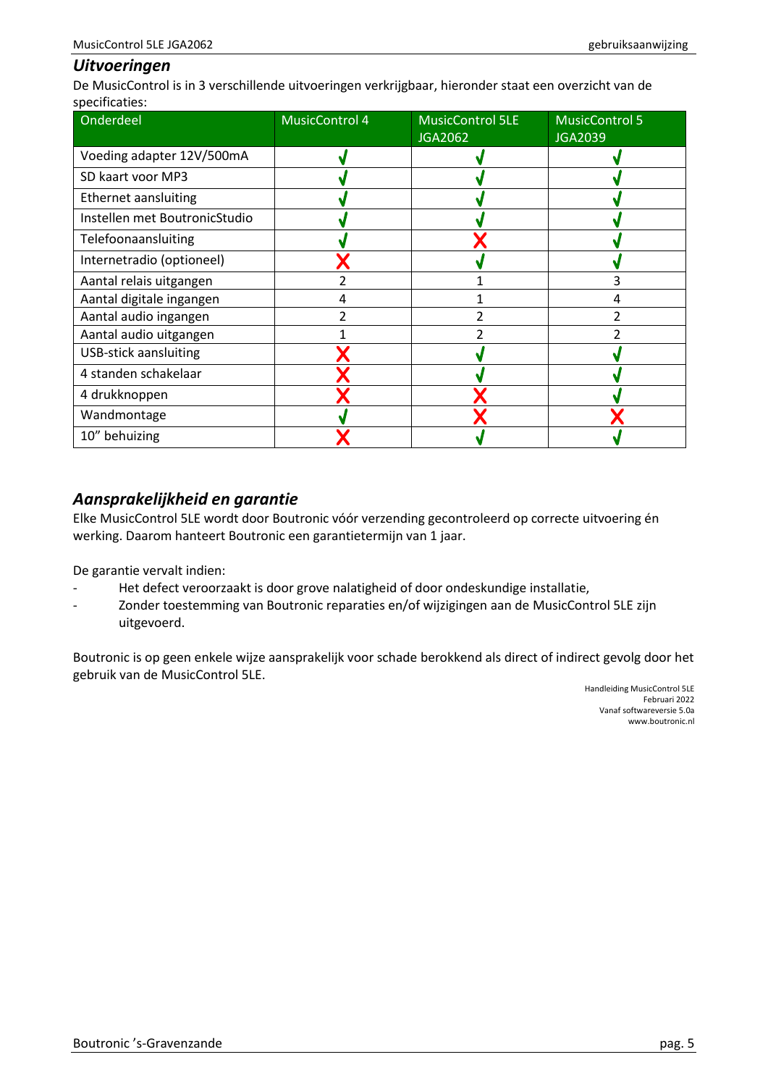### <span id="page-4-0"></span>*Uitvoeringen*

De MusicControl is in 3 verschillende uitvoeringen verkrijgbaar, hieronder staat een overzicht van de specificaties:

| Onderdeel                     | <b>MusicControl 4</b> | <b>MusicControl 5LE</b><br><b>JGA2062</b> | <b>MusicControl 5</b><br><b>JGA2039</b> |
|-------------------------------|-----------------------|-------------------------------------------|-----------------------------------------|
| Voeding adapter 12V/500mA     |                       |                                           |                                         |
| SD kaart voor MP3             |                       |                                           |                                         |
| Ethernet aansluiting          |                       |                                           |                                         |
| Instellen met BoutronicStudio |                       |                                           |                                         |
| Telefoonaansluiting           |                       |                                           |                                         |
| Internetradio (optioneel)     |                       |                                           |                                         |
| Aantal relais uitgangen       |                       |                                           | 3                                       |
| Aantal digitale ingangen      | 4                     |                                           | 4                                       |
| Aantal audio ingangen         |                       |                                           |                                         |
| Aantal audio uitgangen        |                       |                                           |                                         |
| <b>USB-stick aansluiting</b>  |                       |                                           |                                         |
| 4 standen schakelaar          |                       |                                           |                                         |
| 4 drukknoppen                 |                       |                                           |                                         |
| Wandmontage                   |                       |                                           |                                         |
| 10" behuizing                 |                       |                                           |                                         |

## <span id="page-4-1"></span>*Aansprakelijkheid en garantie*

Elke MusicControl 5LE wordt door Boutronic vóór verzending gecontroleerd op correcte uitvoering én werking. Daarom hanteert Boutronic een garantietermijn van 1 jaar.

De garantie vervalt indien:

- Het defect veroorzaakt is door grove nalatigheid of door ondeskundige installatie,
- Zonder toestemming van Boutronic reparaties en/of wijzigingen aan de MusicControl 5LE zijn uitgevoerd.

Boutronic is op geen enkele wijze aansprakelijk voor schade berokkend als direct of indirect gevolg door het gebruik van de MusicControl 5LE.

> Handleiding MusicControl 5LE Februari 2022 Vanaf softwareversie 5.0a www.boutronic.nl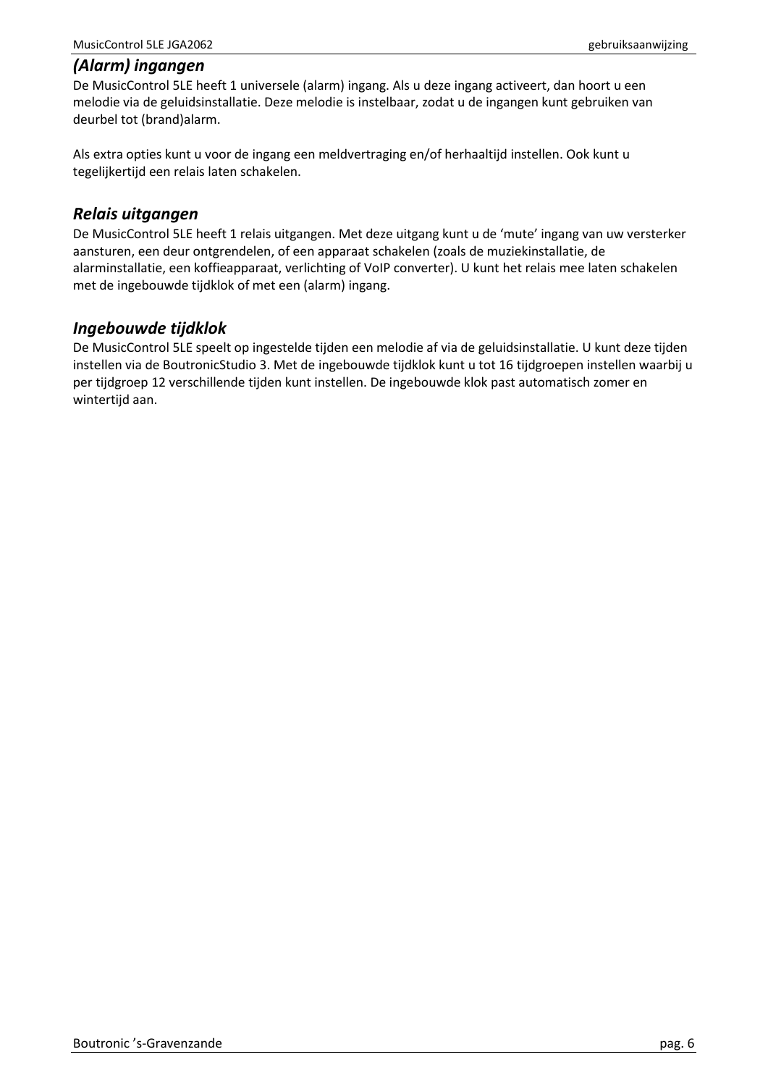#### <span id="page-5-0"></span>*(Alarm) ingangen*

De MusicControl 5LE heeft 1 universele (alarm) ingang. Als u deze ingang activeert, dan hoort u een melodie via de geluidsinstallatie. Deze melodie is instelbaar, zodat u de ingangen kunt gebruiken van deurbel tot (brand)alarm.

Als extra opties kunt u voor de ingang een meldvertraging en/of herhaaltijd instellen. Ook kunt u tegelijkertijd een relais laten schakelen.

### <span id="page-5-1"></span>*Relais uitgangen*

De MusicControl 5LE heeft 1 relais uitgangen. Met deze uitgang kunt u de 'mute' ingang van uw versterker aansturen, een deur ontgrendelen, of een apparaat schakelen (zoals de muziekinstallatie, de alarminstallatie, een koffieapparaat, verlichting of VoIP converter). U kunt het relais mee laten schakelen met de ingebouwde tijdklok of met een (alarm) ingang.

## <span id="page-5-2"></span>*Ingebouwde tijdklok*

De MusicControl 5LE speelt op ingestelde tijden een melodie af via de geluidsinstallatie. U kunt deze tijden instellen via de BoutronicStudio 3. Met de ingebouwde tijdklok kunt u tot 16 tijdgroepen instellen waarbij u per tijdgroep 12 verschillende tijden kunt instellen. De ingebouwde klok past automatisch zomer en wintertijd aan.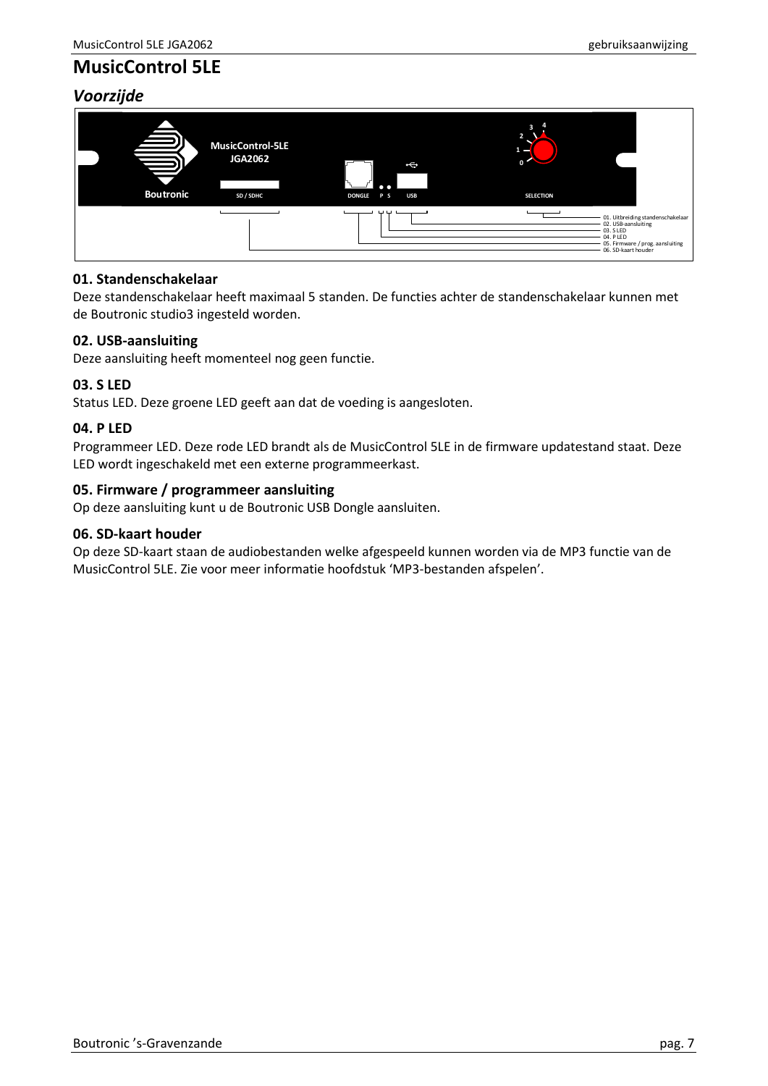# <span id="page-6-0"></span>**MusicControl 5LE**

## <span id="page-6-1"></span>*Voorzijde*



### **01. Standenschakelaar**

Deze standenschakelaar heeft maximaal 5 standen. De functies achter de standenschakelaar kunnen met de Boutronic studio3 ingesteld worden.

#### **02. USB-aansluiting**

Deze aansluiting heeft momenteel nog geen functie.

#### **03. S LED**

Status LED. Deze groene LED geeft aan dat de voeding is aangesloten.

#### **04. P LED**

Programmeer LED. Deze rode LED brandt als de MusicControl 5LE in de firmware updatestand staat. Deze LED wordt ingeschakeld met een externe programmeerkast.

#### **05. Firmware / programmeer aansluiting**

Op deze aansluiting kunt u de Boutronic USB Dongle aansluiten.

#### **06. SD-kaart houder**

Op deze SD-kaart staan de audiobestanden welke afgespeeld kunnen worden via de MP3 functie van de MusicControl 5LE. Zie voor meer informatie hoofdstuk 'MP3-bestanden afspelen'.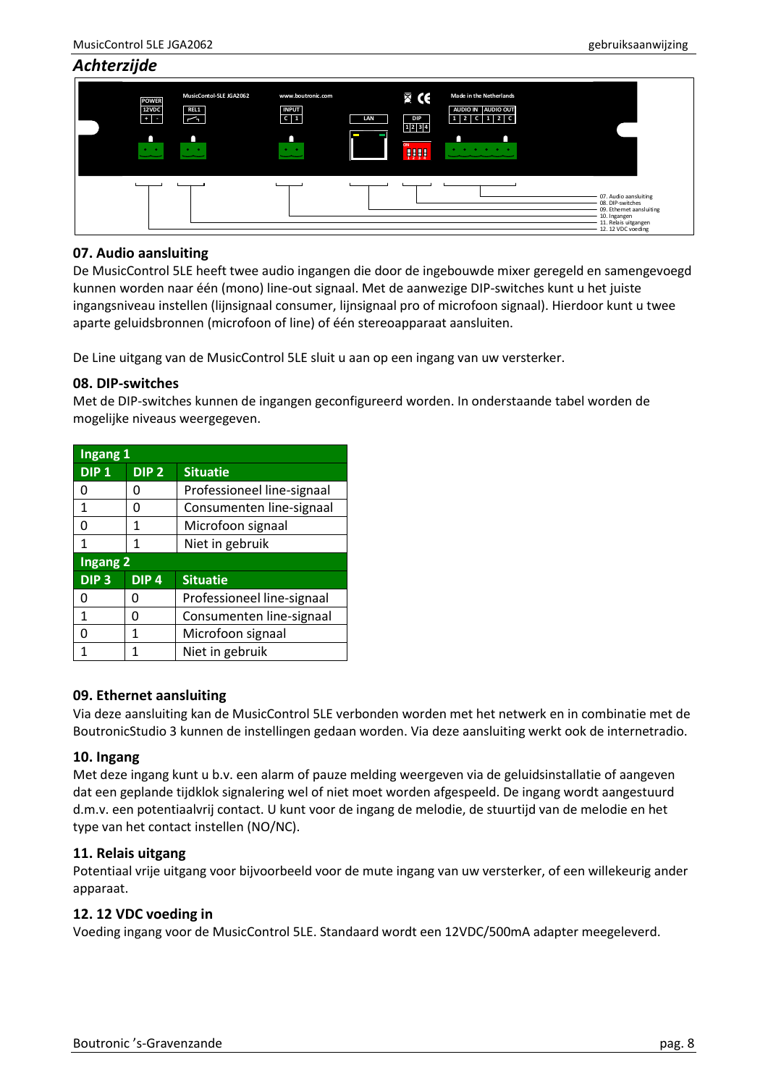<span id="page-7-0"></span>

| Achterzijde |                                                                     |                                                                  |                                                                             |          |                                                    |                                                              |                                                                                                                                     |
|-------------|---------------------------------------------------------------------|------------------------------------------------------------------|-----------------------------------------------------------------------------|----------|----------------------------------------------------|--------------------------------------------------------------|-------------------------------------------------------------------------------------------------------------------------------------|
|             | <b>POWER</b><br>12VDC<br>$\blacksquare$<br>n<br>$\bullet$ $\bullet$ | MusicContol-5LE JGA2062<br>REL1<br>$\sim$<br>$\bullet$ $\bullet$ | www.boutronic.com<br><b>INPUT</b><br>$c \mid 1$<br>n<br>$\bullet$ $\bullet$ | LAN<br>− | $\boxtimes$ CE<br><b>DIP</b><br>1 2 3 4<br>ON<br>W | Made in the Netherlands<br>AUDIO IN AUDIO OUT<br>$12 C 12 C$ |                                                                                                                                     |
|             |                                                                     |                                                                  |                                                                             |          |                                                    |                                                              | 07. Audio aansluiting<br>08. DIP-switches<br>09. Ethemet aansluiting<br>10. Ingangen<br>- 11. Relais uitgangen<br>12.12 VDC voeding |

#### **07. Audio aansluiting**

De MusicControl 5LE heeft twee audio ingangen die door de ingebouwde mixer geregeld en samengevoegd kunnen worden naar één (mono) line-out signaal. Met de aanwezige DIP-switches kunt u het juiste ingangsniveau instellen (lijnsignaal consumer, lijnsignaal pro of microfoon signaal). Hierdoor kunt u twee aparte geluidsbronnen (microfoon of line) of één stereoapparaat aansluiten.

De Line uitgang van de MusicControl 5LE sluit u aan op een ingang van uw versterker.

#### **08. DIP-switches**

Met de DIP-switches kunnen de ingangen geconfigureerd worden. In onderstaande tabel worden de mogelijke niveaus weergegeven.

| Ingang 1         |                  |                            |  |  |
|------------------|------------------|----------------------------|--|--|
| DIP <sub>1</sub> | DIP <sub>2</sub> | <b>Situatie</b>            |  |  |
| O                | O                | Professioneel line-signaal |  |  |
| 1                | O                | Consumenten line-signaal   |  |  |
| ი                | 1                | Microfoon signaal          |  |  |
| 1                | 1                | Niet in gebruik            |  |  |
| <b>Ingang 2</b>  |                  |                            |  |  |
| DIP <sub>3</sub> | DIP <sub>4</sub> | <b>Situatie</b>            |  |  |
| O                | O                | Professioneel line-signaal |  |  |
| $\mathbf{1}$     | n                | Consumenten line-signaal   |  |  |
| U                | 1                | Microfoon signaal          |  |  |
| 1                |                  | Niet in gebruik            |  |  |

#### **09. Ethernet aansluiting**

Via deze aansluiting kan de MusicControl 5LE verbonden worden met het netwerk en in combinatie met de BoutronicStudio 3 kunnen de instellingen gedaan worden. Via deze aansluiting werkt ook de internetradio.

#### **10. Ingang**

Met deze ingang kunt u b.v. een alarm of pauze melding weergeven via de geluidsinstallatie of aangeven dat een geplande tijdklok signalering wel of niet moet worden afgespeeld. De ingang wordt aangestuurd d.m.v. een potentiaalvrij contact. U kunt voor de ingang de melodie, de stuurtijd van de melodie en het type van het contact instellen (NO/NC).

#### **11. Relais uitgang**

Potentiaal vrije uitgang voor bijvoorbeeld voor de mute ingang van uw versterker, of een willekeurig ander apparaat.

#### **12. 12 VDC voeding in**

Voeding ingang voor de MusicControl 5LE. Standaard wordt een 12VDC/500mA adapter meegeleverd.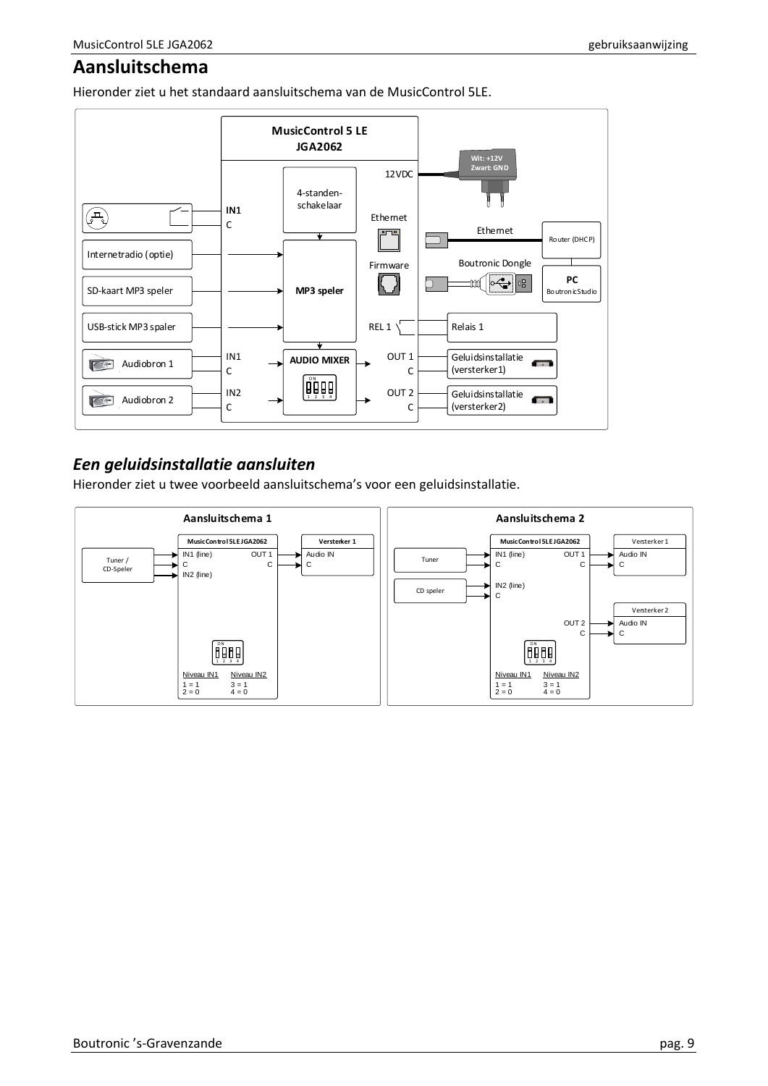# <span id="page-8-0"></span>**Aansluitschema**

Hieronder ziet u het standaard aansluitschema van de MusicControl 5LE.



# <span id="page-8-1"></span>*Een geluidsinstallatie aansluiten*

Hieronder ziet u twee voorbeeld aansluitschema's voor een geluidsinstallatie.

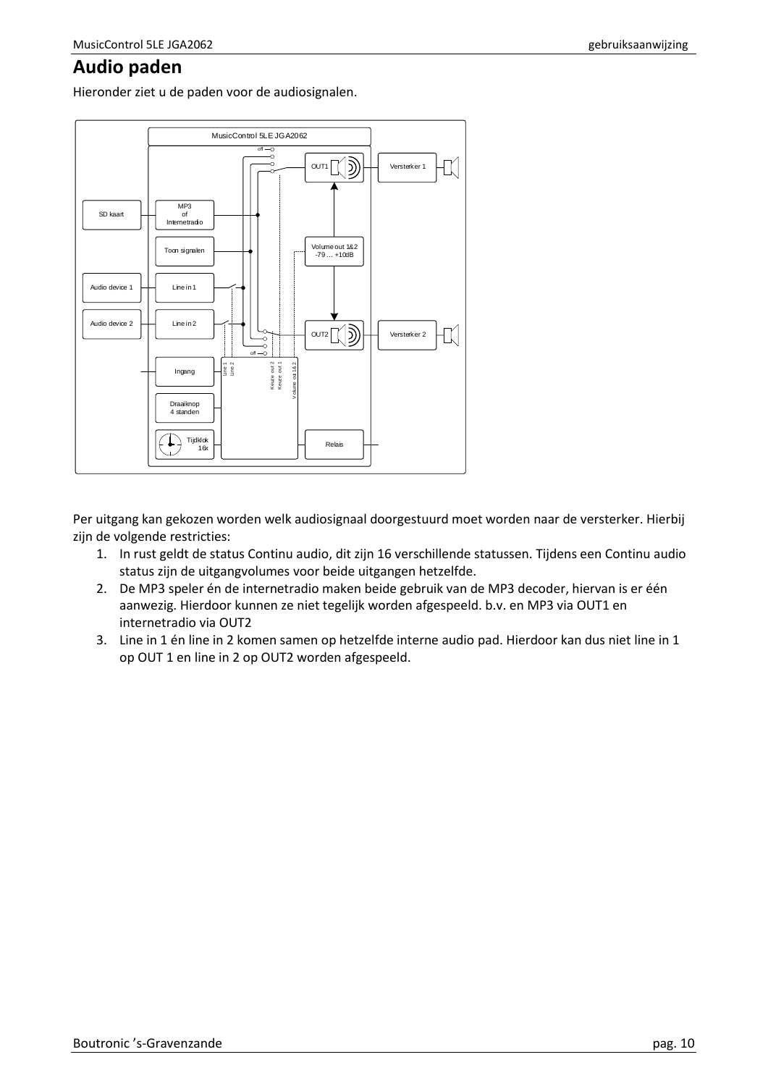# <span id="page-9-0"></span>**Audio paden**

Hieronder ziet u de paden voor de audiosignalen.



Per uitgang kan gekozen worden welk audiosignaal doorgestuurd moet worden naar de versterker. Hierbij zijn de volgende restricties:

- 1. In rust geldt de status Continu audio, dit zijn 16 verschillende statussen. Tijdens een Continu audio status zijn de uitgangvolumes voor beide uitgangen hetzelfde.
- 2. De MP3 speler én de internetradio maken beide gebruik van de MP3 decoder, hiervan is er één aanwezig. Hierdoor kunnen ze niet tegelijk worden afgespeeld. b.v. en MP3 via OUT1 en internetradio via OUT2
- 3. Line in 1 én line in 2 komen samen op hetzelfde interne audio pad. Hierdoor kan dus niet line in 1 op OUT 1 en line in 2 op OUT2 worden afgespeeld.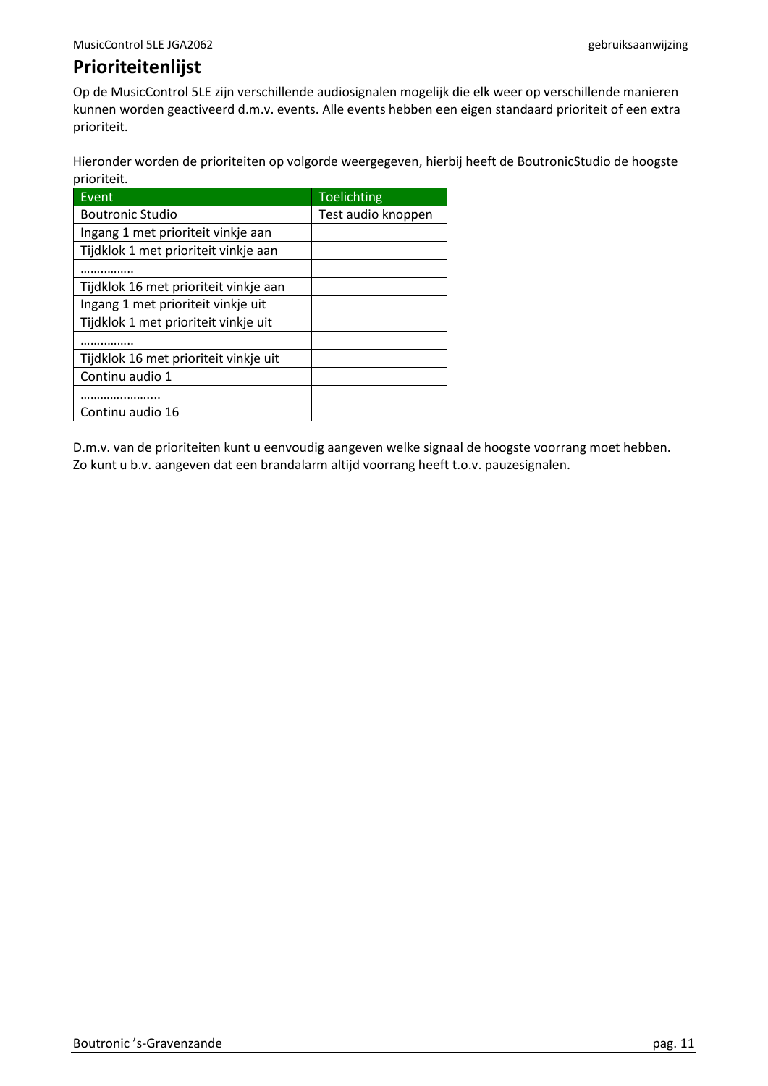# <span id="page-10-0"></span>**Prioriteitenlijst**

Op de MusicControl 5LE zijn verschillende audiosignalen mogelijk die elk weer op verschillende manieren kunnen worden geactiveerd d.m.v. events. Alle events hebben een eigen standaard prioriteit of een extra prioriteit.

Hieronder worden de prioriteiten op volgorde weergegeven, hierbij heeft de BoutronicStudio de hoogste prioriteit.

| Event                                 | Toelichting        |
|---------------------------------------|--------------------|
| <b>Boutronic Studio</b>               | Test audio knoppen |
| Ingang 1 met prioriteit vinkje aan    |                    |
| Tijdklok 1 met prioriteit vinkje aan  |                    |
|                                       |                    |
| Tijdklok 16 met prioriteit vinkje aan |                    |
| Ingang 1 met prioriteit vinkje uit    |                    |
| Tijdklok 1 met prioriteit vinkje uit  |                    |
|                                       |                    |
| Tijdklok 16 met prioriteit vinkje uit |                    |
| Continu audio 1                       |                    |
|                                       |                    |
| Continu audio 16                      |                    |

D.m.v. van de prioriteiten kunt u eenvoudig aangeven welke signaal de hoogste voorrang moet hebben. Zo kunt u b.v. aangeven dat een brandalarm altijd voorrang heeft t.o.v. pauzesignalen.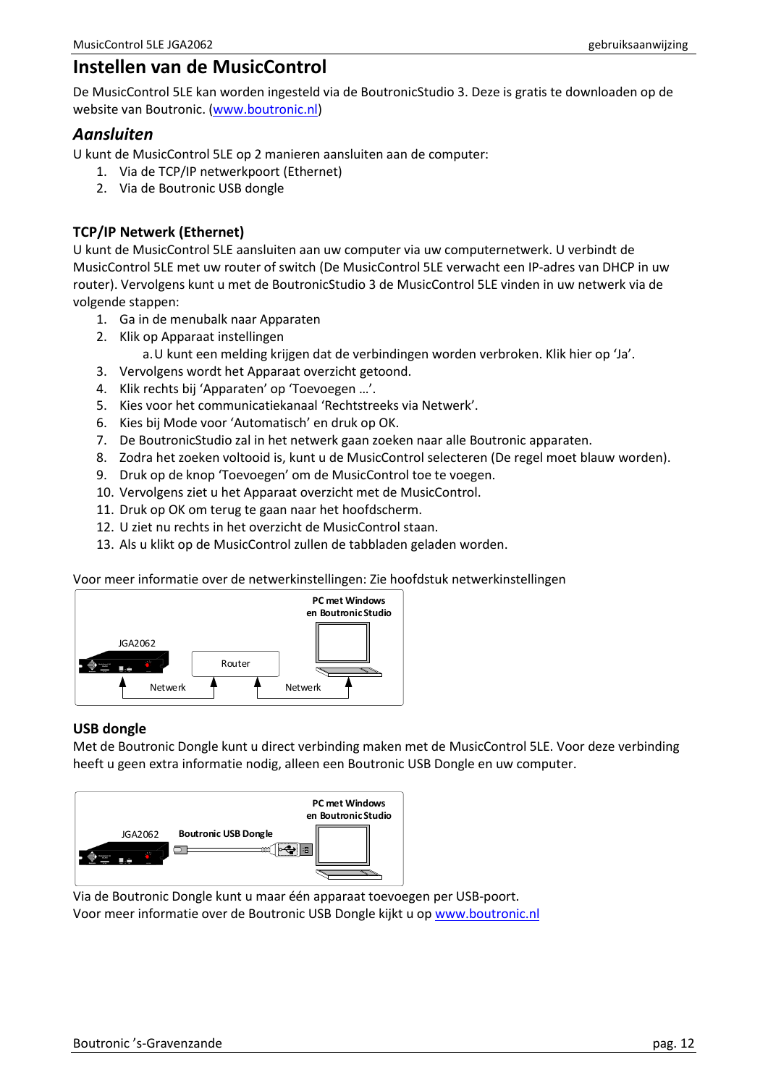# <span id="page-11-0"></span>**Instellen van de MusicControl**

De MusicControl 5LE kan worden ingesteld via de BoutronicStudio 3. Deze is gratis te downloaden op de website van Boutronic. [\(www.boutronic.nl\)](http://www.boutronic.nl/)

#### <span id="page-11-1"></span>*Aansluiten*

U kunt de MusicControl 5LE op 2 manieren aansluiten aan de computer:

- 1. Via de TCP/IP netwerkpoort (Ethernet)
- 2. Via de Boutronic USB dongle

#### **TCP/IP Netwerk (Ethernet)**

U kunt de MusicControl 5LE aansluiten aan uw computer via uw computernetwerk. U verbindt de MusicControl 5LE met uw router of switch (De MusicControl 5LE verwacht een IP-adres van DHCP in uw router). Vervolgens kunt u met de BoutronicStudio 3 de MusicControl 5LE vinden in uw netwerk via de volgende stappen:

- 1. Ga in de menubalk naar Apparaten
- 2. Klik op Apparaat instellingen
	- a.U kunt een melding krijgen dat de verbindingen worden verbroken. Klik hier op 'Ja'.
- 3. Vervolgens wordt het Apparaat overzicht getoond.
- 4. Klik rechts bij 'Apparaten' op 'Toevoegen …'.
- 5. Kies voor het communicatiekanaal 'Rechtstreeks via Netwerk'.
- 6. Kies bij Mode voor 'Automatisch' en druk op OK.
- 7. De BoutronicStudio zal in het netwerk gaan zoeken naar alle Boutronic apparaten.
- 8. Zodra het zoeken voltooid is, kunt u de MusicControl selecteren (De regel moet blauw worden).
- 9. Druk op de knop 'Toevoegen' om de MusicControl toe te voegen.
- 10. Vervolgens ziet u het Apparaat overzicht met de MusicControl.
- 11. Druk op OK om terug te gaan naar het hoofdscherm.
- 12. U ziet nu rechts in het overzicht de MusicControl staan.
- 13. Als u klikt op de MusicControl zullen de tabbladen geladen worden.

Voor meer informatie over de netwerkinstellingen: Zie hoofdstuk netwerkinstellingen



#### **USB dongle**

Met de Boutronic Dongle kunt u direct verbinding maken met de MusicControl 5LE. Voor deze verbinding heeft u geen extra informatie nodig, alleen een Boutronic USB Dongle en uw computer.



Via de Boutronic Dongle kunt u maar één apparaat toevoegen per USB-poort. Voor meer informatie over de Boutronic USB Dongle kijkt u op [www.boutronic.nl](http://www.boutronic.nl/)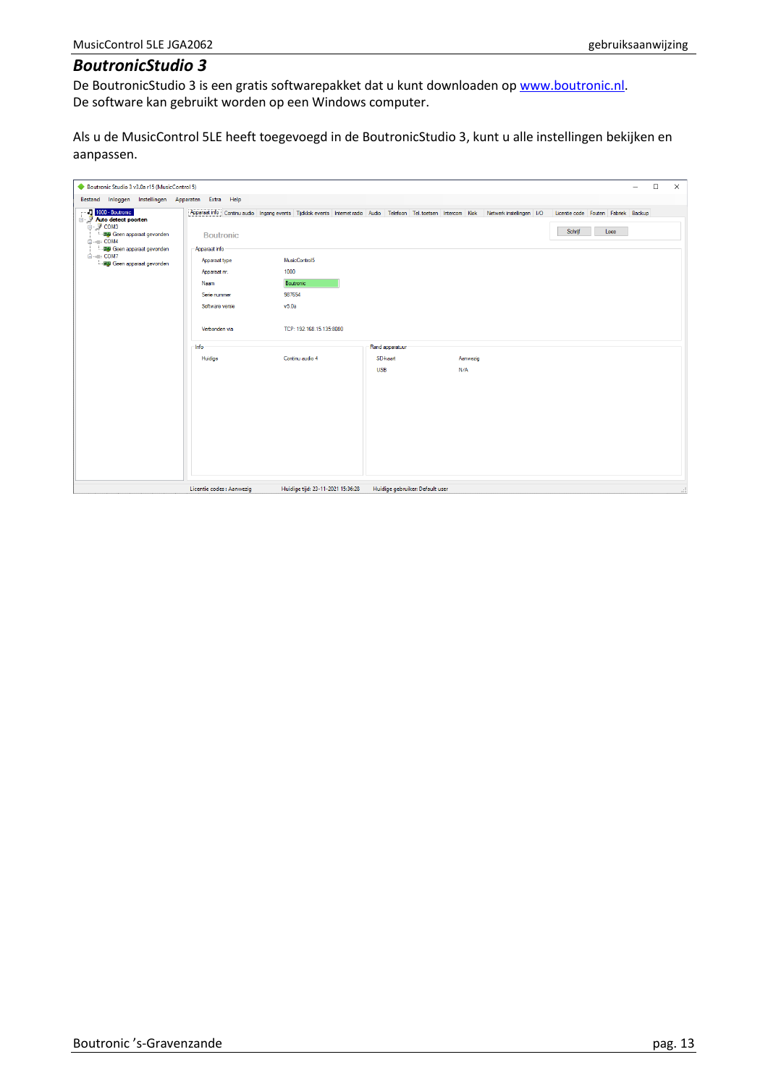## <span id="page-12-0"></span>*BoutronicStudio 3*

De BoutronicStudio 3 is een gratis softwarepakket dat u kunt downloaden op [www.boutronic.nl.](http://www.boutronic.nl/) De software kan gebruikt worden op een Windows computer.

Als u de MusicControl 5LE heeft toegevoegd in de BoutronicStudio 3, kunt u alle instellingen bekijken en aanpassen.

| Boutronic Studio 3 v3.0a r15 (MusicControl 5)                                                                                                                                          |                                                                                                                                |                                                                                   |                                 |                 | $\times$<br>$\Box$                                                                                                                                                              |
|----------------------------------------------------------------------------------------------------------------------------------------------------------------------------------------|--------------------------------------------------------------------------------------------------------------------------------|-----------------------------------------------------------------------------------|---------------------------------|-----------------|---------------------------------------------------------------------------------------------------------------------------------------------------------------------------------|
| Bestand Inloggen Instellingen Apparaten Extra Help<br>1000 - Boutronic                                                                                                                 |                                                                                                                                |                                                                                   |                                 |                 | Apparaat info Continu audio Ingang events Tijdklok events Internet radio Audio Telefoon Tel. toetsen Intercom Klok Netwerk instellingen I/O Licentie code Fouten Fabriek Backup |
| <b>Auto detect poorten</b><br>□ J COM3<br>··· 图 Geen apparaat gevonden<br><b>E-</b> COM4<br><b>Hap</b> Geen apparaat gevonden<br><b>EH-</b> B COM7<br><b>图象 Geen apparaat gevonden</b> | <b>Boutronic</b><br>Apparaat info<br>Apparaat type<br>Apparaat nr.<br>Naam<br>Serie nummer<br>Software versie<br>Verbonden via | MusicControl5<br>1000<br>Boutronic<br>987654<br>v5.0a<br>TCP: 192.168.15.135:8080 |                                 |                 | Schrijf<br>Lees                                                                                                                                                                 |
|                                                                                                                                                                                        | Info                                                                                                                           |                                                                                   | Rand apparatuur                 |                 |                                                                                                                                                                                 |
|                                                                                                                                                                                        | Huidige                                                                                                                        | Continu audio 4                                                                   | SD-kaart<br><b>USB</b>          | Aanwezig<br>N/A |                                                                                                                                                                                 |
|                                                                                                                                                                                        | Licentie codes : Aanwezig                                                                                                      | Huidige tijd: 23-11-2021 15:36:28                                                 | Huidige gebruiker: Default user |                 | И,                                                                                                                                                                              |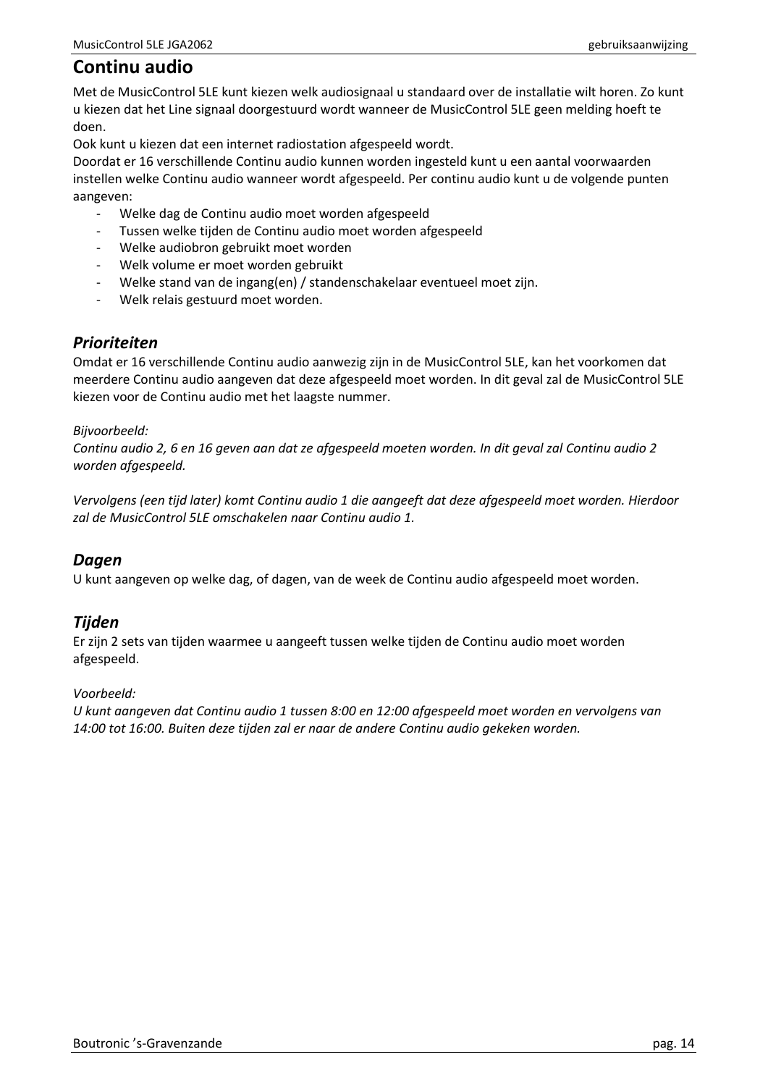# <span id="page-13-0"></span>**Continu audio**

Met de MusicControl 5LE kunt kiezen welk audiosignaal u standaard over de installatie wilt horen. Zo kunt u kiezen dat het Line signaal doorgestuurd wordt wanneer de MusicControl 5LE geen melding hoeft te doen.

Ook kunt u kiezen dat een internet radiostation afgespeeld wordt.

Doordat er 16 verschillende Continu audio kunnen worden ingesteld kunt u een aantal voorwaarden instellen welke Continu audio wanneer wordt afgespeeld. Per continu audio kunt u de volgende punten aangeven:

- Welke dag de Continu audio moet worden afgespeeld
- Tussen welke tijden de Continu audio moet worden afgespeeld
- Welke audiobron gebruikt moet worden
- Welk volume er moet worden gebruikt
- Welke stand van de ingang(en) / standenschakelaar eventueel moet zijn.
- Welk relais gestuurd moet worden.

## <span id="page-13-1"></span>*Prioriteiten*

Omdat er 16 verschillende Continu audio aanwezig zijn in de MusicControl 5LE, kan het voorkomen dat meerdere Continu audio aangeven dat deze afgespeeld moet worden. In dit geval zal de MusicControl 5LE kiezen voor de Continu audio met het laagste nummer.

#### *Bijvoorbeeld:*

*Continu audio 2, 6 en 16 geven aan dat ze afgespeeld moeten worden. In dit geval zal Continu audio 2 worden afgespeeld.*

*Vervolgens (een tijd later) komt Continu audio 1 die aangeeft dat deze afgespeeld moet worden. Hierdoor zal de MusicControl 5LE omschakelen naar Continu audio 1.*

## <span id="page-13-2"></span>*Dagen*

U kunt aangeven op welke dag, of dagen, van de week de Continu audio afgespeeld moet worden.

## <span id="page-13-3"></span>*Tijden*

Er zijn 2 sets van tijden waarmee u aangeeft tussen welke tijden de Continu audio moet worden afgespeeld.

#### *Voorbeeld:*

*U kunt aangeven dat Continu audio 1 tussen 8:00 en 12:00 afgespeeld moet worden en vervolgens van 14:00 tot 16:00. Buiten deze tijden zal er naar de andere Continu audio gekeken worden.*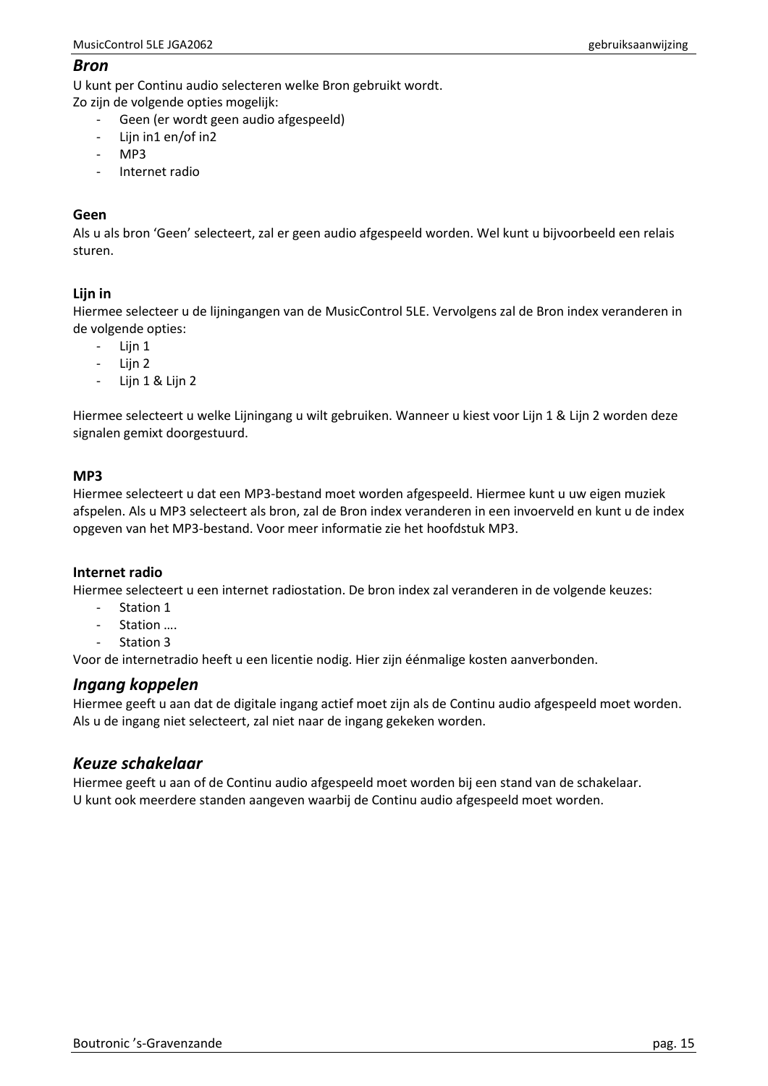#### <span id="page-14-0"></span>*Bron*

U kunt per Continu audio selecteren welke Bron gebruikt wordt.

Zo zijn de volgende opties mogelijk:

- Geen (er wordt geen audio afgespeeld)
- Lijn in1 en/of in2
- MP3
- Internet radio

#### **Geen**

Als u als bron 'Geen' selecteert, zal er geen audio afgespeeld worden. Wel kunt u bijvoorbeeld een relais sturen.

## **Lijn in**

Hiermee selecteer u de lijningangen van de MusicControl 5LE. Vervolgens zal de Bron index veranderen in de volgende opties:

- Lijn 1
- Lijn 2
- Lijn 1 & Lijn 2

Hiermee selecteert u welke Lijningang u wilt gebruiken. Wanneer u kiest voor Lijn 1 & Lijn 2 worden deze signalen gemixt doorgestuurd.

#### **MP3**

Hiermee selecteert u dat een MP3-bestand moet worden afgespeeld. Hiermee kunt u uw eigen muziek afspelen. Als u MP3 selecteert als bron, zal de Bron index veranderen in een invoerveld en kunt u de index opgeven van het MP3-bestand. Voor meer informatie zie het hoofdstuk MP3.

#### **Internet radio**

Hiermee selecteert u een internet radiostation. De bron index zal veranderen in de volgende keuzes:

- Station 1
- Station ....
- Station 3

Voor de internetradio heeft u een licentie nodig. Hier zijn éénmalige kosten aanverbonden.

## <span id="page-14-1"></span>*Ingang koppelen*

Hiermee geeft u aan dat de digitale ingang actief moet zijn als de Continu audio afgespeeld moet worden. Als u de ingang niet selecteert, zal niet naar de ingang gekeken worden.

## <span id="page-14-2"></span>*Keuze schakelaar*

Hiermee geeft u aan of de Continu audio afgespeeld moet worden bij een stand van de schakelaar. U kunt ook meerdere standen aangeven waarbij de Continu audio afgespeeld moet worden.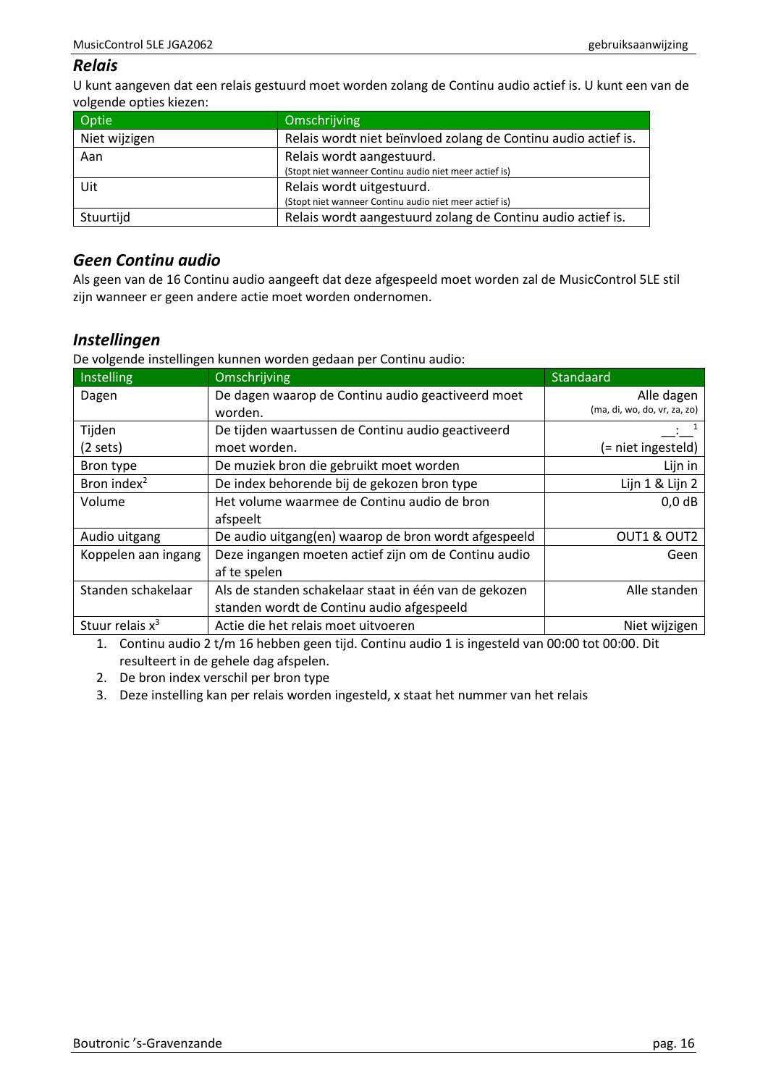## <span id="page-15-0"></span>*Relais*

U kunt aangeven dat een relais gestuurd moet worden zolang de Continu audio actief is. U kunt een van de volgende opties kiezen:

| Optie         | Omschrijving                                                                        |
|---------------|-------------------------------------------------------------------------------------|
| Niet wijzigen | Relais wordt niet beïnvloed zolang de Continu audio actief is.                      |
| Aan           | Relais wordt aangestuurd.<br>(Stopt niet wanneer Continu audio niet meer actief is) |
| Uit           | Relais wordt uitgestuurd.<br>(Stopt niet wanneer Continu audio niet meer actief is) |
| Stuurtijd     | Relais wordt aangestuurd zolang de Continu audio actief is.                         |

## <span id="page-15-1"></span>*Geen Continu audio*

Als geen van de 16 Continu audio aangeeft dat deze afgespeeld moet worden zal de MusicControl 5LE stil zijn wanneer er geen andere actie moet worden ondernomen.

## <span id="page-15-2"></span>*Instellingen*

De volgende instellingen kunnen worden gedaan per Continu audio:

| Instelling              | Omschrijving                                            | Standaard                    |
|-------------------------|---------------------------------------------------------|------------------------------|
| Dagen                   | De dagen waarop de Continu audio geactiveerd moet       | Alle dagen                   |
|                         | worden.                                                 | (ma, di, wo, do, vr, za, zo) |
| Tijden                  | De tijden waartussen de Continu audio geactiveerd       |                              |
| (2 sets)                | moet worden.                                            | (= niet ingesteld)           |
| Bron type               | De muziek bron die gebruikt moet worden                 | Lijn in                      |
| Bron index <sup>2</sup> | De index behorende bij de gekozen bron type             | Lijn 1 & Lijn 2              |
| Volume                  | Het volume waarmee de Continu audio de bron<br>$0,0$ dB |                              |
|                         | afspeelt                                                |                              |
| Audio uitgang           | De audio uitgang(en) waarop de bron wordt afgespeeld    | OUT1 & OUT2                  |
| Koppelen aan ingang     | Deze ingangen moeten actief zijn om de Continu audio    | Geen                         |
|                         | af te spelen                                            |                              |
| Standen schakelaar      | Als de standen schakelaar staat in één van de gekozen   | Alle standen                 |
|                         | standen wordt de Continu audio afgespeeld               |                              |
| Stuur relais $x^3$      | Actie die het relais moet uitvoeren                     | Niet wijzigen                |

1. Continu audio 2 t/m 16 hebben geen tijd. Continu audio 1 is ingesteld van 00:00 tot 00:00. Dit resulteert in de gehele dag afspelen.

2. De bron index verschil per bron type

3. Deze instelling kan per relais worden ingesteld, x staat het nummer van het relais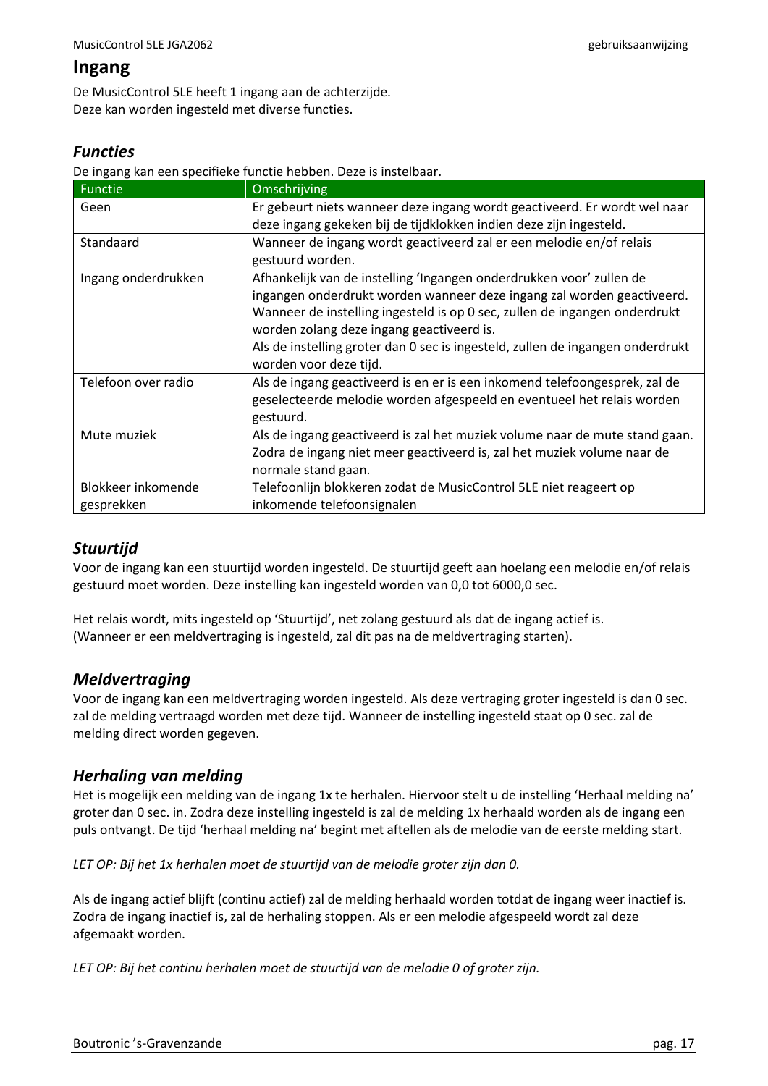# <span id="page-16-0"></span>**Ingang**

De MusicControl 5LE heeft 1 ingang aan de achterzijde. Deze kan worden ingesteld met diverse functies.

# <span id="page-16-1"></span>*Functies*

De ingang kan een specifieke functie hebben. Deze is instelbaar.

| <b>Functie</b>      | Omschrijving                                                                   |
|---------------------|--------------------------------------------------------------------------------|
| Geen                | Er gebeurt niets wanneer deze ingang wordt geactiveerd. Er wordt wel naar      |
|                     | deze ingang gekeken bij de tijdklokken indien deze zijn ingesteld.             |
| Standaard           | Wanneer de ingang wordt geactiveerd zal er een melodie en/of relais            |
|                     | gestuurd worden.                                                               |
| Ingang onderdrukken | Afhankelijk van de instelling 'Ingangen onderdrukken voor' zullen de           |
|                     | ingangen onderdrukt worden wanneer deze ingang zal worden geactiveerd.         |
|                     | Wanneer de instelling ingesteld is op 0 sec, zullen de ingangen onderdrukt     |
|                     | worden zolang deze ingang geactiveerd is.                                      |
|                     | Als de instelling groter dan 0 sec is ingesteld, zullen de ingangen onderdrukt |
|                     | worden voor deze tijd.                                                         |
| Telefoon over radio | Als de ingang geactiveerd is en er is een inkomend telefoongesprek, zal de     |
|                     | geselecteerde melodie worden afgespeeld en eventueel het relais worden         |
|                     | gestuurd.                                                                      |
| Mute muziek         | Als de ingang geactiveerd is zal het muziek volume naar de mute stand gaan.    |
|                     | Zodra de ingang niet meer geactiveerd is, zal het muziek volume naar de        |
|                     | normale stand gaan.                                                            |
| Blokkeer inkomende  | Telefoonlijn blokkeren zodat de MusicControl 5LE niet reageert op              |
| gesprekken          | inkomende telefoonsignalen                                                     |

# <span id="page-16-2"></span>*Stuurtijd*

Voor de ingang kan een stuurtijd worden ingesteld. De stuurtijd geeft aan hoelang een melodie en/of relais gestuurd moet worden. Deze instelling kan ingesteld worden van 0,0 tot 6000,0 sec.

Het relais wordt, mits ingesteld op 'Stuurtijd', net zolang gestuurd als dat de ingang actief is. (Wanneer er een meldvertraging is ingesteld, zal dit pas na de meldvertraging starten).

# <span id="page-16-3"></span>*Meldvertraging*

Voor de ingang kan een meldvertraging worden ingesteld. Als deze vertraging groter ingesteld is dan 0 sec. zal de melding vertraagd worden met deze tijd. Wanneer de instelling ingesteld staat op 0 sec. zal de melding direct worden gegeven.

# <span id="page-16-4"></span>*Herhaling van melding*

Het is mogelijk een melding van de ingang 1x te herhalen. Hiervoor stelt u de instelling 'Herhaal melding na' groter dan 0 sec. in. Zodra deze instelling ingesteld is zal de melding 1x herhaald worden als de ingang een puls ontvangt. De tijd 'herhaal melding na' begint met aftellen als de melodie van de eerste melding start.

*LET OP: Bij het 1x herhalen moet de stuurtijd van de melodie groter zijn dan 0.*

Als de ingang actief blijft (continu actief) zal de melding herhaald worden totdat de ingang weer inactief is. Zodra de ingang inactief is, zal de herhaling stoppen. Als er een melodie afgespeeld wordt zal deze afgemaakt worden.

*LET OP: Bij het continu herhalen moet de stuurtijd van de melodie 0 of groter zijn.*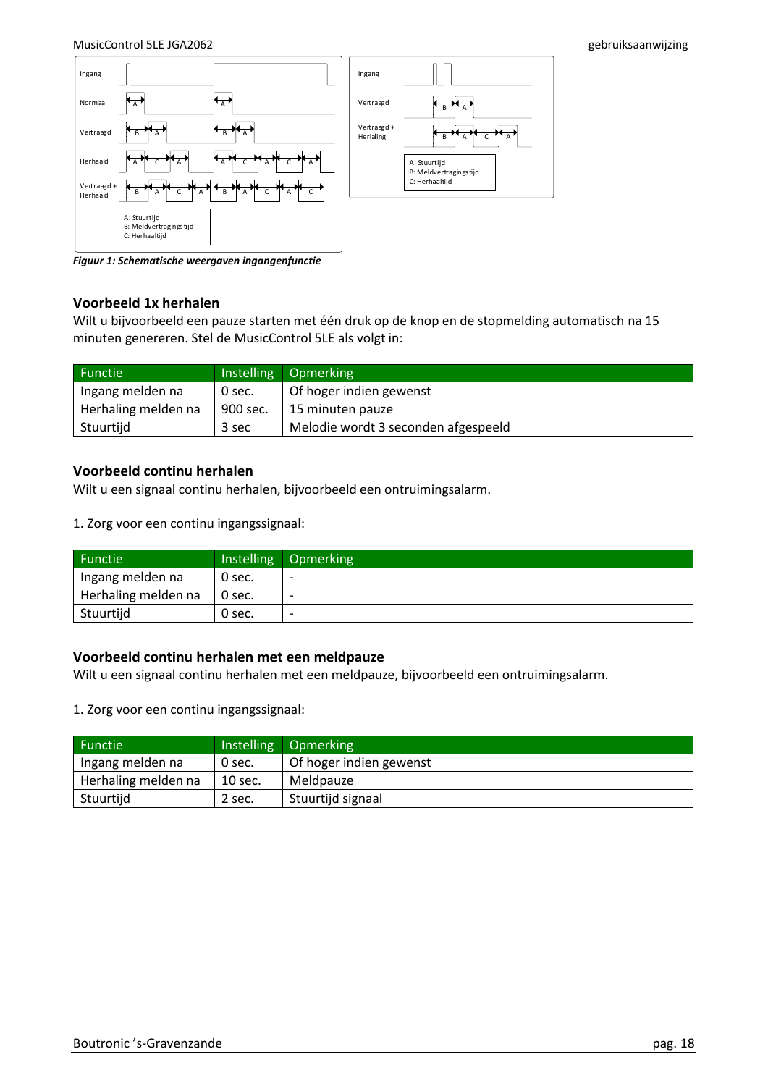

*Figuur 1: Schematische weergaven ingangenfunctie*

#### **Voorbeeld 1x herhalen**

Wilt u bijvoorbeeld een pauze starten met één druk op de knop en de stopmelding automatisch na 15 minuten genereren. Stel de MusicControl 5LE als volgt in:

| Functie <sup>1</sup> |          | Instelling Opmerking                |
|----------------------|----------|-------------------------------------|
| Ingang melden na     | 0 sec.   | Of hoger indien gewenst             |
| Herhaling melden na  | 900 sec. | 15 minuten pauze                    |
| Stuurtijd            | 3 sec    | Melodie wordt 3 seconden afgespeeld |

#### **Voorbeeld continu herhalen**

Wilt u een signaal continu herhalen, bijvoorbeeld een ontruimingsalarm.

1. Zorg voor een continu ingangssignaal:

| Functie             |        | Instelling Opmerking     |
|---------------------|--------|--------------------------|
| Ingang melden na    | 0 sec. | $\overline{\phantom{0}}$ |
| Herhaling melden na | 0 sec. | $\overline{\phantom{a}}$ |
| Stuurtijd           | 0 sec. | $\overline{\phantom{0}}$ |

#### **Voorbeeld continu herhalen met een meldpauze**

Wilt u een signaal continu herhalen met een meldpauze, bijvoorbeeld een ontruimingsalarm.

1. Zorg voor een continu ingangssignaal:

| Functie             |         | Instelling Opmerking    |
|---------------------|---------|-------------------------|
| Ingang melden na    | 0 sec.  | Of hoger indien gewenst |
| Herhaling melden na | 10 sec. | Meldpauze               |
| Stuurtijd           | 2 sec.  | Stuurtijd signaal       |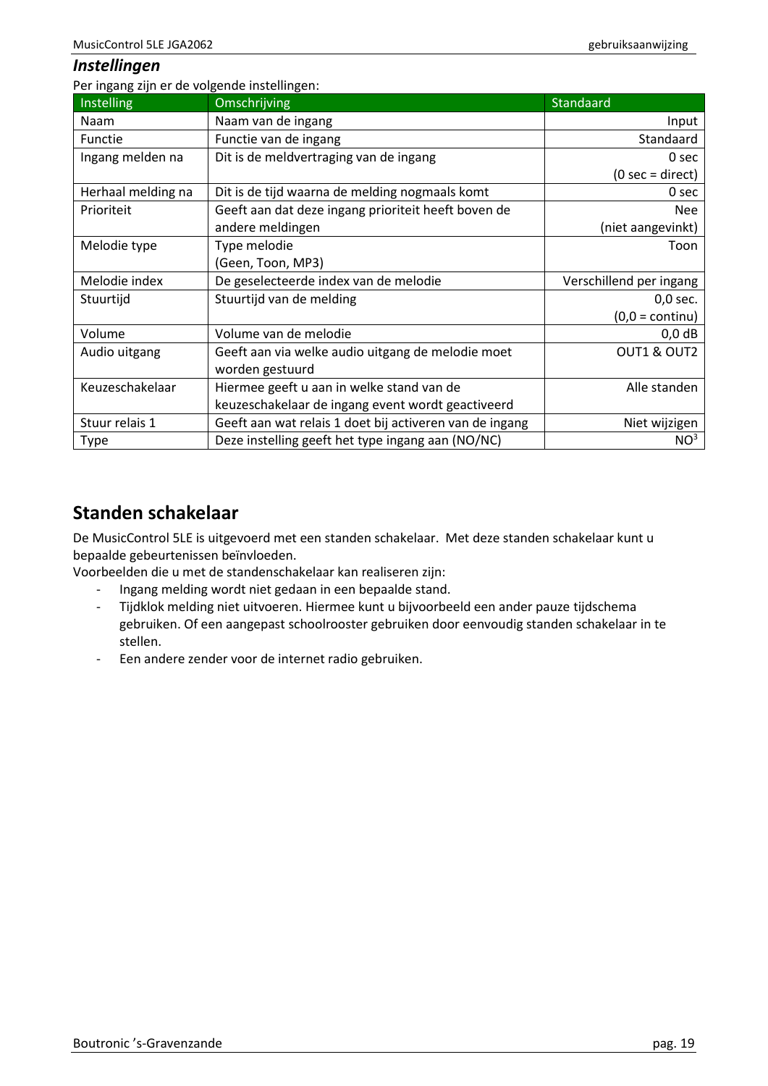## <span id="page-18-0"></span>*Instellingen*

Per ingang zijn er de volgende instellingen:

| Instelling         | Omschrijving                                            | Standaard                         |
|--------------------|---------------------------------------------------------|-----------------------------------|
| <b>Naam</b>        | Naam van de ingang                                      | Input                             |
| Functie            | Functie van de ingang                                   | Standaard                         |
| Ingang melden na   | Dit is de meldvertraging van de ingang                  | 0 sec                             |
|                    |                                                         | $(0 \text{ sec} = \text{direct})$ |
| Herhaal melding na | Dit is de tijd waarna de melding nogmaals komt          | 0 sec                             |
| Prioriteit         | Geeft aan dat deze ingang prioriteit heeft boven de     | <b>Nee</b>                        |
|                    | andere meldingen                                        | (niet aangevinkt)                 |
| Melodie type       | Type melodie                                            | Toon                              |
|                    | (Geen, Toon, MP3)                                       |                                   |
| Melodie index      | De geselecteerde index van de melodie                   | Verschillend per ingang           |
| Stuurtijd          | Stuurtijd van de melding                                | $0,0$ sec.                        |
|                    |                                                         | $(0,0 = \text{continu})$          |
| Volume             | Volume van de melodie                                   | $0,0$ dB                          |
| Audio uitgang      | Geeft aan via welke audio uitgang de melodie moet       | OUT1 & OUT2                       |
|                    | worden gestuurd                                         |                                   |
| Keuzeschakelaar    | Hiermee geeft u aan in welke stand van de               | Alle standen                      |
|                    | keuzeschakelaar de ingang event wordt geactiveerd       |                                   |
| Stuur relais 1     | Geeft aan wat relais 1 doet bij activeren van de ingang | Niet wijzigen                     |
| <b>Type</b>        | Deze instelling geeft het type ingang aan (NO/NC)       | NO <sup>3</sup>                   |

# <span id="page-18-1"></span>**Standen schakelaar**

De MusicControl 5LE is uitgevoerd met een standen schakelaar. Met deze standen schakelaar kunt u bepaalde gebeurtenissen beïnvloeden.

Voorbeelden die u met de standenschakelaar kan realiseren zijn:

- Ingang melding wordt niet gedaan in een bepaalde stand.
- Tijdklok melding niet uitvoeren. Hiermee kunt u bijvoorbeeld een ander pauze tijdschema gebruiken. Of een aangepast schoolrooster gebruiken door eenvoudig standen schakelaar in te stellen.
- Een andere zender voor de internet radio gebruiken.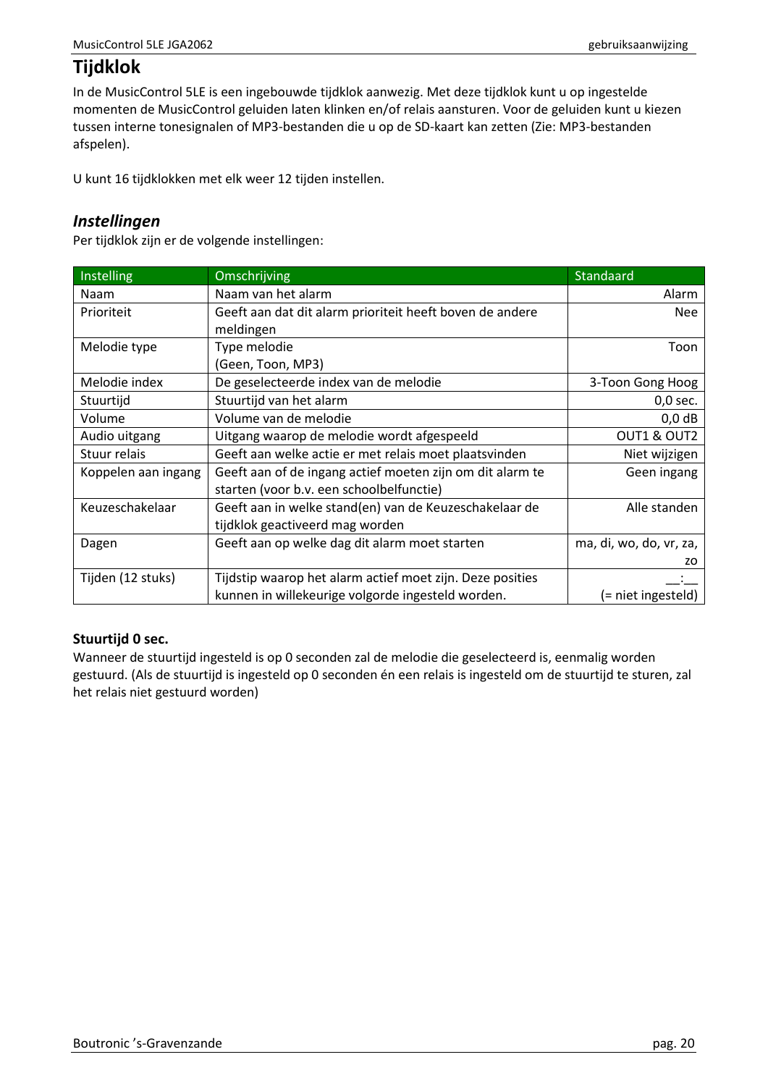# <span id="page-19-0"></span>**Tijdklok**

In de MusicControl 5LE is een ingebouwde tijdklok aanwezig. Met deze tijdklok kunt u op ingestelde momenten de MusicControl geluiden laten klinken en/of relais aansturen. Voor de geluiden kunt u kiezen tussen interne tonesignalen of MP3-bestanden die u op de SD-kaart kan zetten (Zie[: MP3-bestanden](#page-30-0)  [afspelen\)](#page-30-0).

U kunt 16 tijdklokken met elk weer 12 tijden instellen.

## <span id="page-19-1"></span>*Instellingen*

Per tijdklok zijn er de volgende instellingen:

| <b>Instelling</b>   | Omschrijving                                              | Standaard               |
|---------------------|-----------------------------------------------------------|-------------------------|
| <b>Naam</b>         | Naam van het alarm                                        | Alarm                   |
| Prioriteit          | Geeft aan dat dit alarm prioriteit heeft boven de andere  | <b>Nee</b>              |
|                     | meldingen                                                 |                         |
| Melodie type        | Type melodie                                              | Toon                    |
|                     | (Geen, Toon, MP3)                                         |                         |
| Melodie index       | De geselecteerde index van de melodie                     | 3-Toon Gong Hoog        |
| Stuurtijd           | Stuurtijd van het alarm                                   | $0,0$ sec.              |
| Volume              | Volume van de melodie                                     | $0,0$ dB                |
| Audio uitgang       | Uitgang waarop de melodie wordt afgespeeld                | OUT1 & OUT2             |
| Stuur relais        | Geeft aan welke actie er met relais moet plaatsvinden     | Niet wijzigen           |
| Koppelen aan ingang | Geeft aan of de ingang actief moeten zijn om dit alarm te | Geen ingang             |
|                     | starten (voor b.v. een schoolbelfunctie)                  |                         |
| Keuzeschakelaar     | Geeft aan in welke stand(en) van de Keuzeschakelaar de    | Alle standen            |
|                     | tijdklok geactiveerd mag worden                           |                         |
| Dagen               | Geeft aan op welke dag dit alarm moet starten             | ma, di, wo, do, vr, za, |
|                     |                                                           | ZO.                     |
| Tijden (12 stuks)   | Tijdstip waarop het alarm actief moet zijn. Deze posities |                         |
|                     | kunnen in willekeurige volgorde ingesteld worden.         | (= niet ingesteld)      |

## **Stuurtijd 0 sec.**

Wanneer de stuurtijd ingesteld is op 0 seconden zal de melodie die geselecteerd is, eenmalig worden gestuurd. (Als de stuurtijd is ingesteld op 0 seconden én een relais is ingesteld om de stuurtijd te sturen, zal het relais niet gestuurd worden)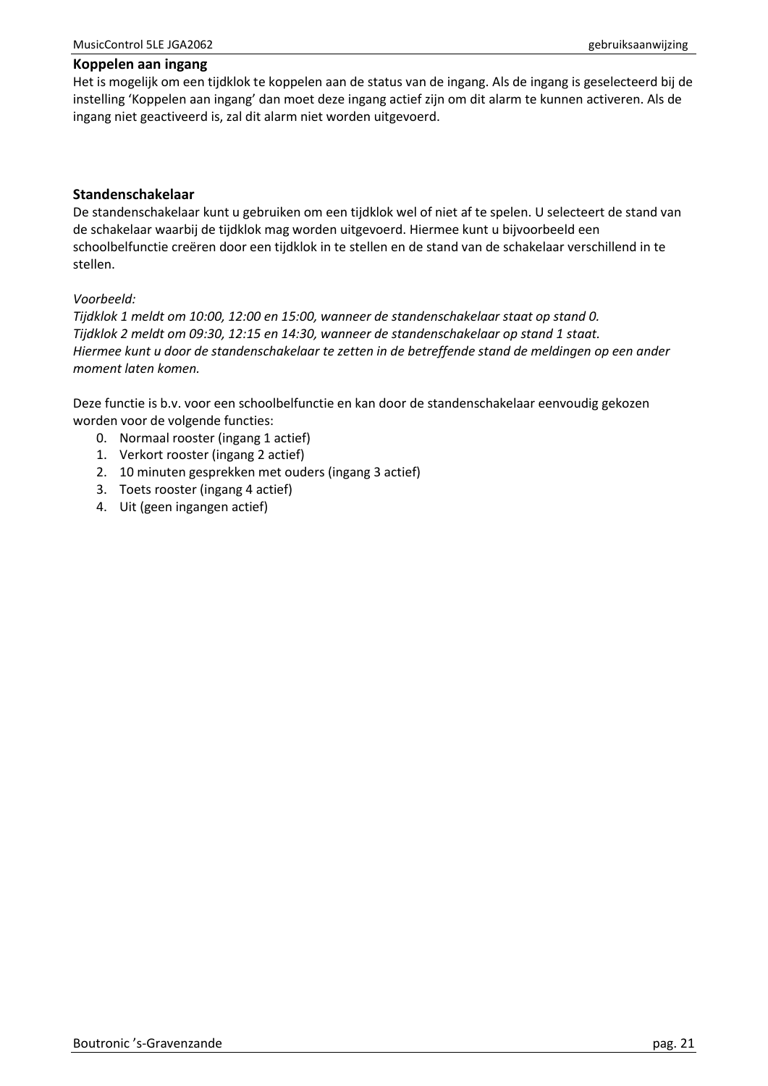#### **Koppelen aan ingang**

Het is mogelijk om een tijdklok te koppelen aan de status van de ingang. Als de ingang is geselecteerd bij de instelling 'Koppelen aan ingang' dan moet deze ingang actief zijn om dit alarm te kunnen activeren. Als de ingang niet geactiveerd is, zal dit alarm niet worden uitgevoerd.

#### **Standenschakelaar**

De standenschakelaar kunt u gebruiken om een tijdklok wel of niet af te spelen. U selecteert de stand van de schakelaar waarbij de tijdklok mag worden uitgevoerd. Hiermee kunt u bijvoorbeeld een schoolbelfunctie creëren door een tijdklok in te stellen en de stand van de schakelaar verschillend in te stellen.

#### *Voorbeeld:*

*Tijdklok 1 meldt om 10:00, 12:00 en 15:00, wanneer de standenschakelaar staat op stand 0. Tijdklok 2 meldt om 09:30, 12:15 en 14:30, wanneer de standenschakelaar op stand 1 staat. Hiermee kunt u door de standenschakelaar te zetten in de betreffende stand de meldingen op een ander moment laten komen.*

Deze functie is b.v. voor een schoolbelfunctie en kan door de standenschakelaar eenvoudig gekozen worden voor de volgende functies:

- 0. Normaal rooster (ingang 1 actief)
- 1. Verkort rooster (ingang 2 actief)
- 2. 10 minuten gesprekken met ouders (ingang 3 actief)
- 3. Toets rooster (ingang 4 actief)
- 4. Uit (geen ingangen actief)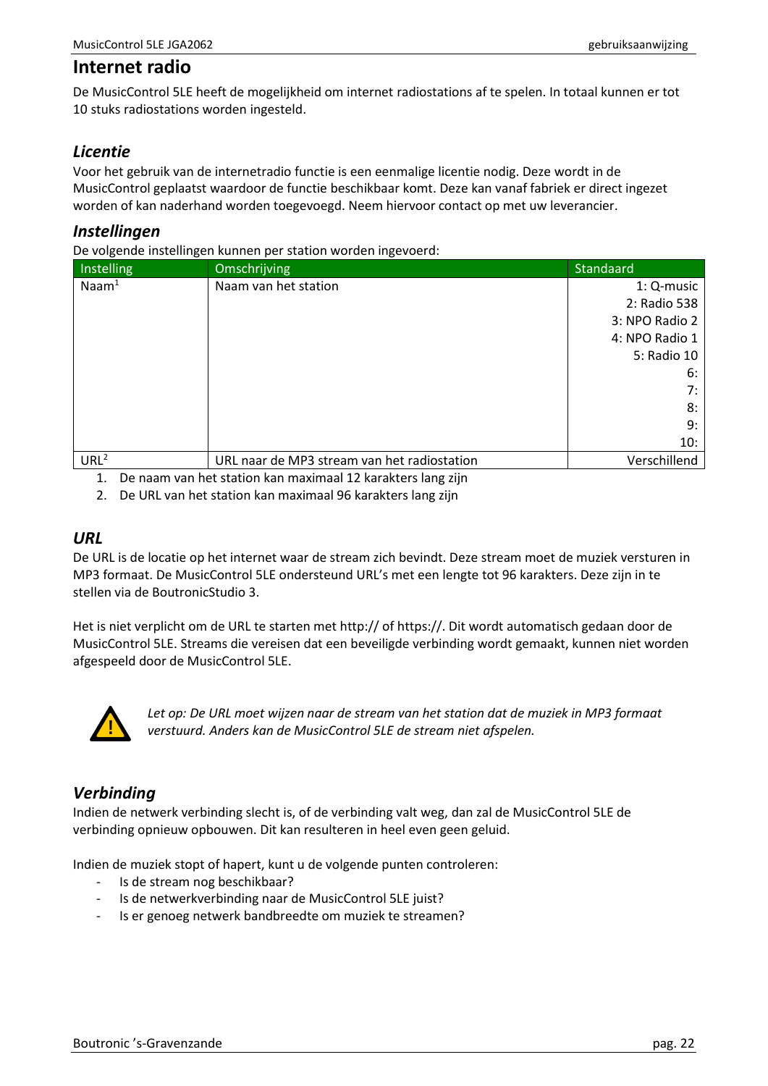## <span id="page-21-0"></span>**Internet radio**

De MusicControl 5LE heeft de mogelijkheid om internet radiostations af te spelen. In totaal kunnen er tot 10 stuks radiostations worden ingesteld.

## <span id="page-21-1"></span>*Licentie*

Voor het gebruik van de internetradio functie is een eenmalige licentie nodig. Deze wordt in de MusicControl geplaatst waardoor de functie beschikbaar komt. Deze kan vanaf fabriek er direct ingezet worden of kan naderhand worden toegevoegd. Neem hiervoor contact op met uw leverancier.

## <span id="page-21-2"></span>*Instellingen*

De volgende instellingen kunnen per station worden ingevoerd:

| Instelling        | Omschrijving                                | Standaard      |
|-------------------|---------------------------------------------|----------------|
| $\textsf{Naam}^1$ | Naam van het station                        | 1: Q-music     |
|                   |                                             | 2: Radio 538   |
|                   |                                             | 3: NPO Radio 2 |
|                   |                                             | 4: NPO Radio 1 |
|                   |                                             | 5: Radio 10    |
|                   |                                             | 6:             |
|                   |                                             | 7:             |
|                   |                                             | 8:             |
|                   |                                             | 9:             |
|                   |                                             | 10:            |
| URL <sup>2</sup>  | URL naar de MP3 stream van het radiostation | Verschillend   |

1. De naam van het station kan maximaal 12 karakters lang zijn

2. De URL van het station kan maximaal 96 karakters lang zijn

### <span id="page-21-3"></span>*URL*

De URL is de locatie op het internet waar de stream zich bevindt. Deze stream moet de muziek versturen in MP3 formaat. De MusicControl 5LE ondersteund URL's met een lengte tot 96 karakters. Deze zijn in te stellen via de BoutronicStudio 3.

Het is niet verplicht om de URL te starten met http:// of https://. Dit wordt automatisch gedaan door de MusicControl 5LE. Streams die vereisen dat een beveiligde verbinding wordt gemaakt, kunnen niet worden afgespeeld door de MusicControl 5LE.



*Let op: De URL moet wijzen naar de stream van het station dat de muziek in MP3 formaat verstuurd. Anders kan de MusicControl 5LE de stream niet afspelen.*

# <span id="page-21-4"></span>*Verbinding*

Indien de netwerk verbinding slecht is, of de verbinding valt weg, dan zal de MusicControl 5LE de verbinding opnieuw opbouwen. Dit kan resulteren in heel even geen geluid.

Indien de muziek stopt of hapert, kunt u de volgende punten controleren:

- Is de stream nog beschikbaar?
- Is de netwerkverbinding naar de MusicControl 5LE juist?
- Is er genoeg netwerk bandbreedte om muziek te streamen?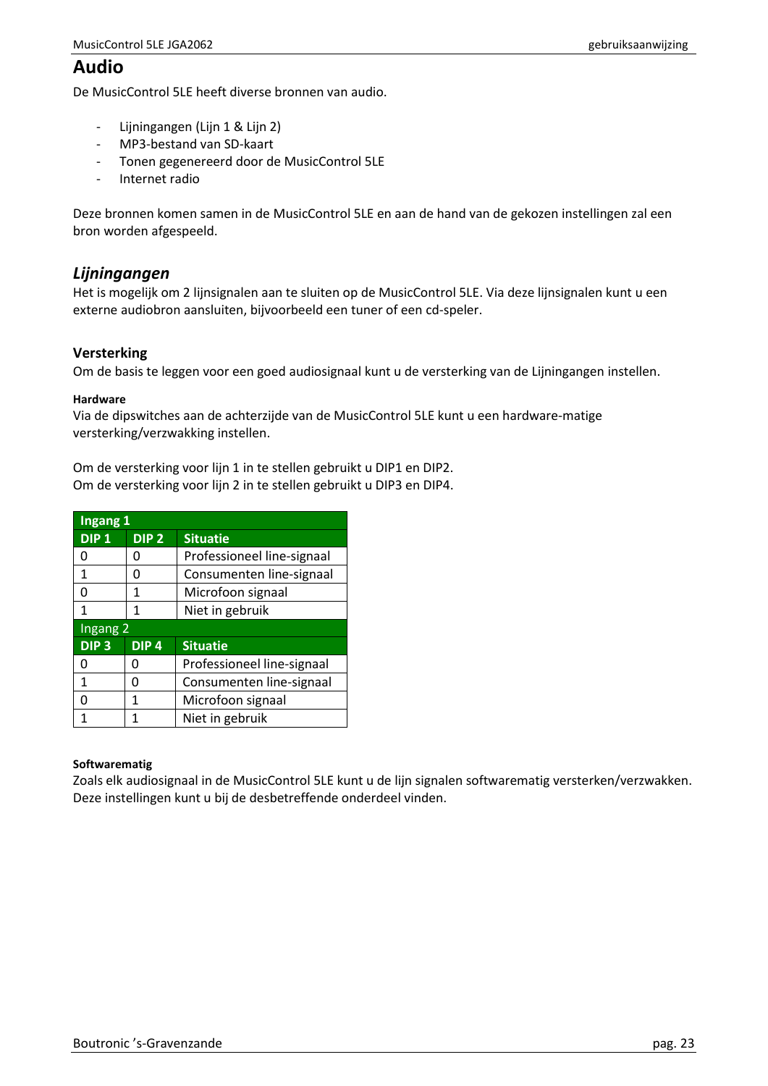# <span id="page-22-0"></span>**Audio**

De MusicControl 5LE heeft diverse bronnen van audio.

- Lijningangen (Lijn 1 & Lijn 2)
- MP3-bestand van SD-kaart
- Tonen gegenereerd door de MusicControl 5LE
- Internet radio

Deze bronnen komen samen in de MusicControl 5LE en aan de hand van de gekozen instellingen zal een bron worden afgespeeld.

## <span id="page-22-1"></span>*Lijningangen*

Het is mogelijk om 2 lijnsignalen aan te sluiten op de MusicControl 5LE. Via deze lijnsignalen kunt u een externe audiobron aansluiten, bijvoorbeeld een tuner of een cd-speler.

#### **Versterking**

Om de basis te leggen voor een goed audiosignaal kunt u de versterking van de Lijningangen instellen.

#### **Hardware**

Via de dipswitches aan de achterzijde van de MusicControl 5LE kunt u een hardware-matige versterking/verzwakking instellen.

Om de versterking voor lijn 1 in te stellen gebruikt u DIP1 en DIP2. Om de versterking voor lijn 2 in te stellen gebruikt u DIP3 en DIP4.

| Ingang 1         |                  |                            |
|------------------|------------------|----------------------------|
| DIP <sub>1</sub> | DIP <sub>2</sub> | <b>Situatie</b>            |
| ი                | O                | Professioneel line-signaal |
| 1                | O                | Consumenten line-signaal   |
| ი                | 1                | Microfoon signaal          |
| 1                | 1                | Niet in gebruik            |
| Ingang 2         |                  |                            |
|                  |                  |                            |
| DIP <sub>3</sub> | DIP <sub>4</sub> | <b>Situatie</b>            |
| n                | Ω                | Professioneel line-signaal |
| 1                | n                | Consumenten line-signaal   |
| ŋ                | 1                | Microfoon signaal          |

#### **Softwarematig**

Zoals elk audiosignaal in de MusicControl 5LE kunt u de lijn signalen softwarematig versterken/verzwakken. Deze instellingen kunt u bij de desbetreffende onderdeel vinden.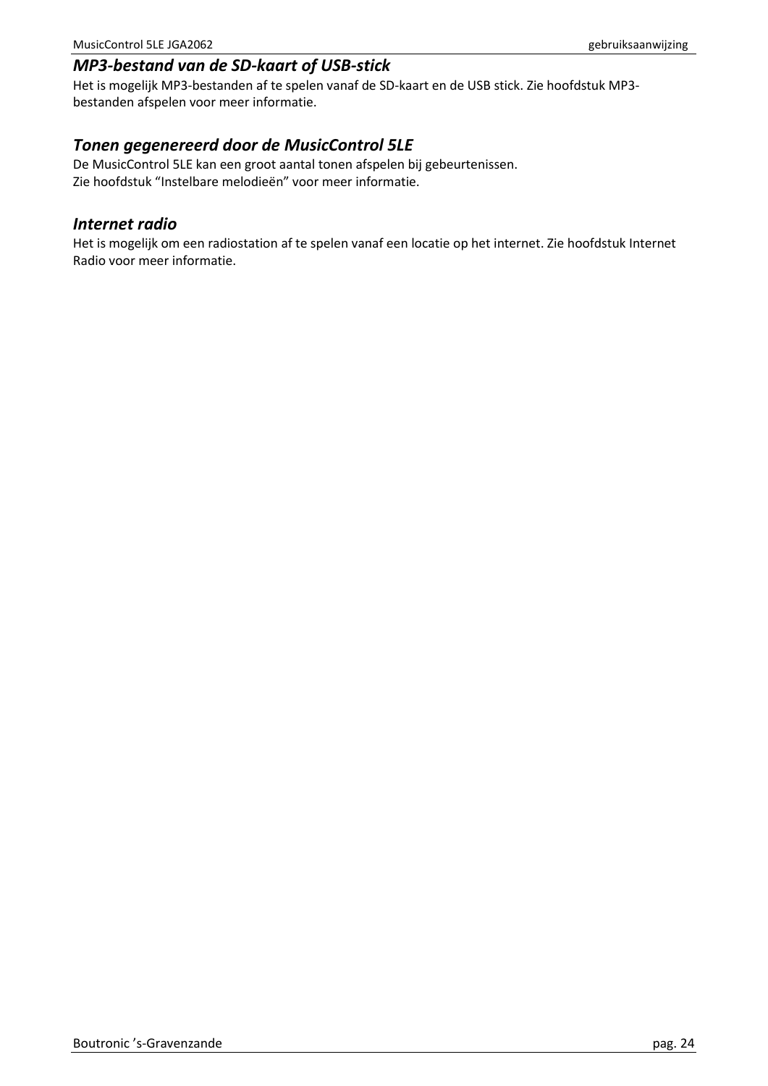# <span id="page-23-0"></span>*MP3-bestand van de SD-kaart of USB-stick*

Het is mogelijk MP3-bestanden af te spelen vanaf de SD-kaart en de USB stick. Zie hoofdstuk MP3 bestanden afspelen voor meer informatie.

## <span id="page-23-1"></span>*Tonen gegenereerd door de MusicControl 5LE*

De MusicControl 5LE kan een groot aantal tonen afspelen bij gebeurtenissen. Zie hoofdstuk "Instelbare melodieën" voor meer informatie.

## <span id="page-23-2"></span>*Internet radio*

Het is mogelijk om een radiostation af te spelen vanaf een locatie op het internet. Zie hoofdstuk Internet Radio voor meer informatie.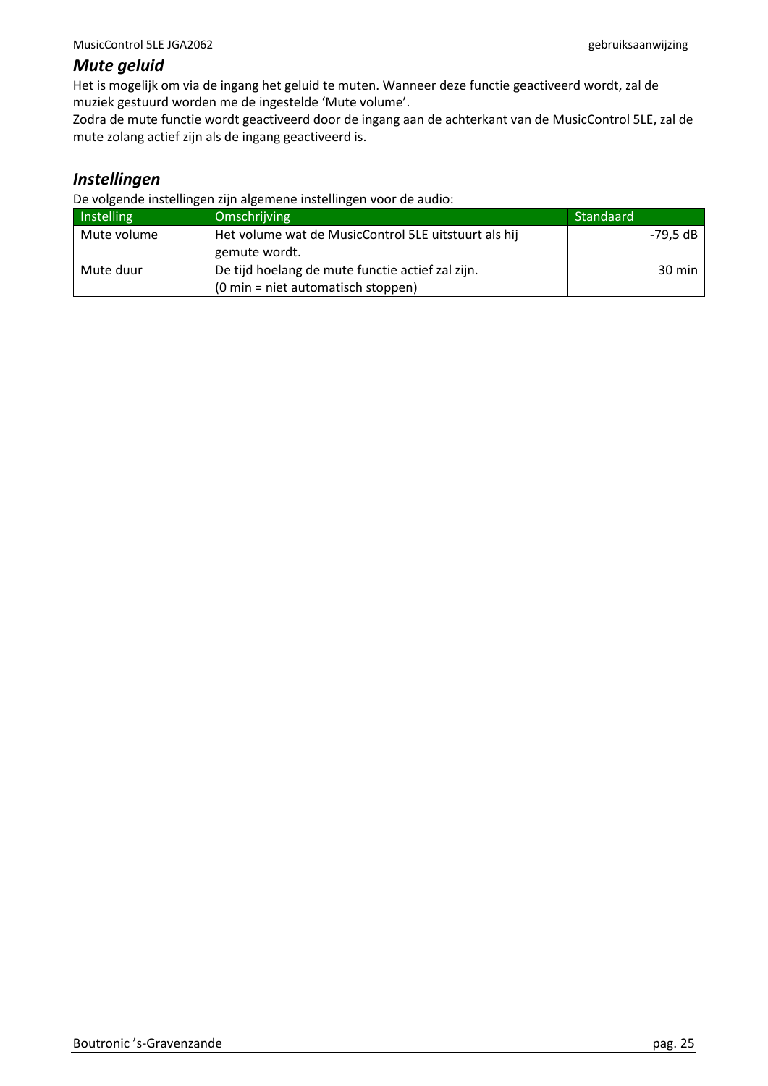## <span id="page-24-0"></span>*Mute geluid*

Het is mogelijk om via de ingang het geluid te muten. Wanneer deze functie geactiveerd wordt, zal de muziek gestuurd worden me de ingestelde 'Mute volume'.

Zodra de mute functie wordt geactiveerd door de ingang aan de achterkant van de MusicControl 5LE, zal de mute zolang actief zijn als de ingang geactiveerd is.

# <span id="page-24-1"></span>*Instellingen*

De volgende instellingen zijn algemene instellingen voor de audio:

| Instelling  | Omschrijving                                         | Standaard        |
|-------------|------------------------------------------------------|------------------|
| Mute volume | Het volume wat de MusicControl 5LE uitstuurt als hij | -79.5 dB         |
|             | gemute wordt.                                        |                  |
| Mute duur   | De tijd hoelang de mute functie actief zal zijn.     | $30 \text{ min}$ |
|             | $(0 \text{ min} = \text{ niet automatisch stoppen})$ |                  |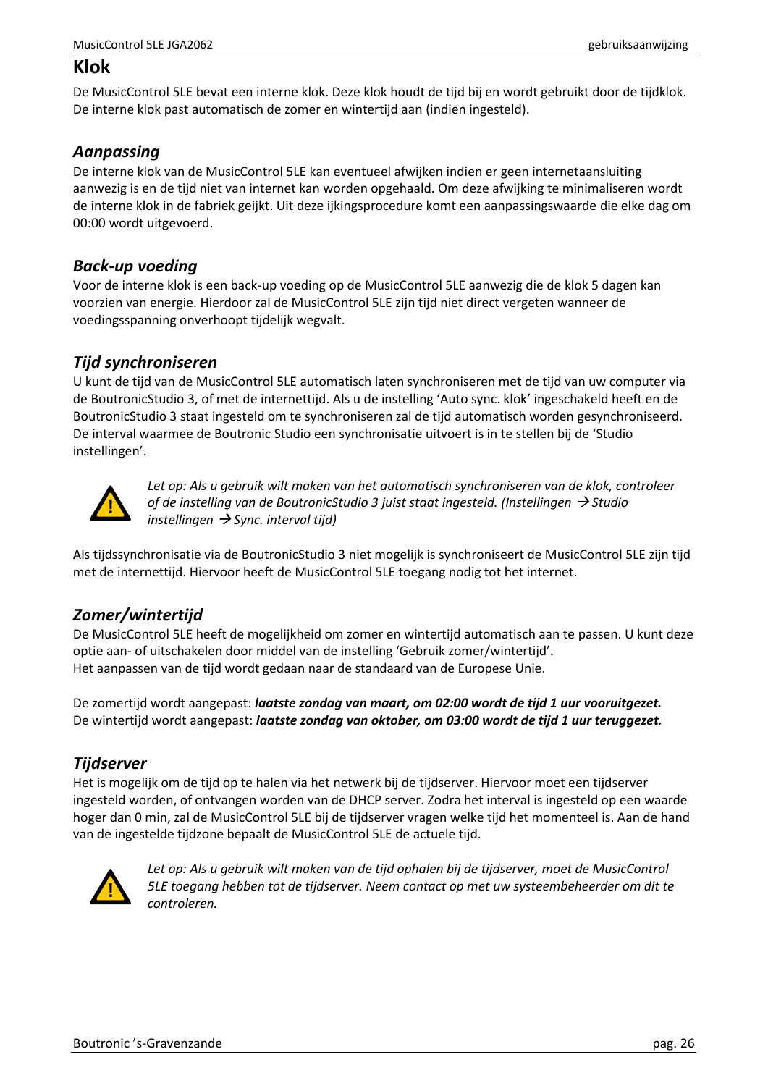# <span id="page-25-0"></span>**Klok**

De MusicControl 5LE bevat een interne klok. Deze klok houdt de tijd bij en wordt gebruikt door de tijdklok. De interne klok past automatisch de zomer en wintertijd aan (indien ingesteld).

# <span id="page-25-1"></span>*Aanpassing*

De interne klok van de MusicControl 5LE kan eventueel afwijken indien er geen internetaansluiting aanwezig is en de tijd niet van internet kan worden opgehaald. Om deze afwijking te minimaliseren wordt de interne klok in de fabriek geijkt. Uit deze ijkingsprocedure komt een aanpassingswaarde die elke dag om 00:00 wordt uitgevoerd.

# <span id="page-25-2"></span>*Back-up voeding*

Voor de interne klok is een back-up voeding op de MusicControl 5LE aanwezig die de klok 5 dagen kan voorzien van energie. Hierdoor zal de MusicControl 5LE zijn tijd niet direct vergeten wanneer de voedingsspanning onverhoopt tijdelijk wegvalt.

## <span id="page-25-3"></span>*Tijd synchroniseren*

U kunt de tijd van de MusicControl 5LE automatisch laten synchroniseren met de tijd van uw computer via de BoutronicStudio 3, of met de internettijd. Als u de instelling 'Auto sync. klok' ingeschakeld heeft en de BoutronicStudio 3 staat ingesteld om te synchroniseren zal de tijd automatisch worden gesynchroniseerd. De interval waarmee de Boutronic Studio een synchronisatie uitvoert is in te stellen bij de 'Studio instellingen'.



*Let op: Als u gebruik wilt maken van het automatisch synchroniseren van de klok, controleer of de instelling van de BoutronicStudio 3 juist staat ingesteld. (Instellingen* → *Studio instellingen* → *Sync. interval tijd)*

Als tijdssynchronisatie via de BoutronicStudio 3 niet mogelijk is synchroniseert de MusicControl 5LE zijn tijd met de internettijd. Hiervoor heeft de MusicControl 5LE toegang nodig tot het internet.

# <span id="page-25-4"></span>*Zomer/wintertijd*

De MusicControl 5LE heeft de mogelijkheid om zomer en wintertijd automatisch aan te passen. U kunt deze optie aan- of uitschakelen door middel van de instelling 'Gebruik zomer/wintertijd'. Het aanpassen van de tijd wordt gedaan naar de standaard van de Europese Unie.

De zomertijd wordt aangepast: *laatste zondag van maart, om 02:00 wordt de tijd 1 uur vooruitgezet.* De wintertijd wordt aangepast: *laatste zondag van oktober, om 03:00 wordt de tijd 1 uur teruggezet.*

# <span id="page-25-5"></span>*Tijdserver*

Het is mogelijk om de tijd op te halen via het netwerk bij de tijdserver. Hiervoor moet een tijdserver ingesteld worden, of ontvangen worden van de DHCP server. Zodra het interval is ingesteld op een waarde hoger dan 0 min, zal de MusicControl 5LE bij de tijdserver vragen welke tijd het momenteel is. Aan de hand van de ingestelde tijdzone bepaalt de MusicControl 5LE de actuele tijd.



*Let op: Als u gebruik wilt maken van de tijd ophalen bij de tijdserver, moet de MusicControl 5LE toegang hebben tot de tijdserver. Neem contact op met uw systeembeheerder om dit te controleren.*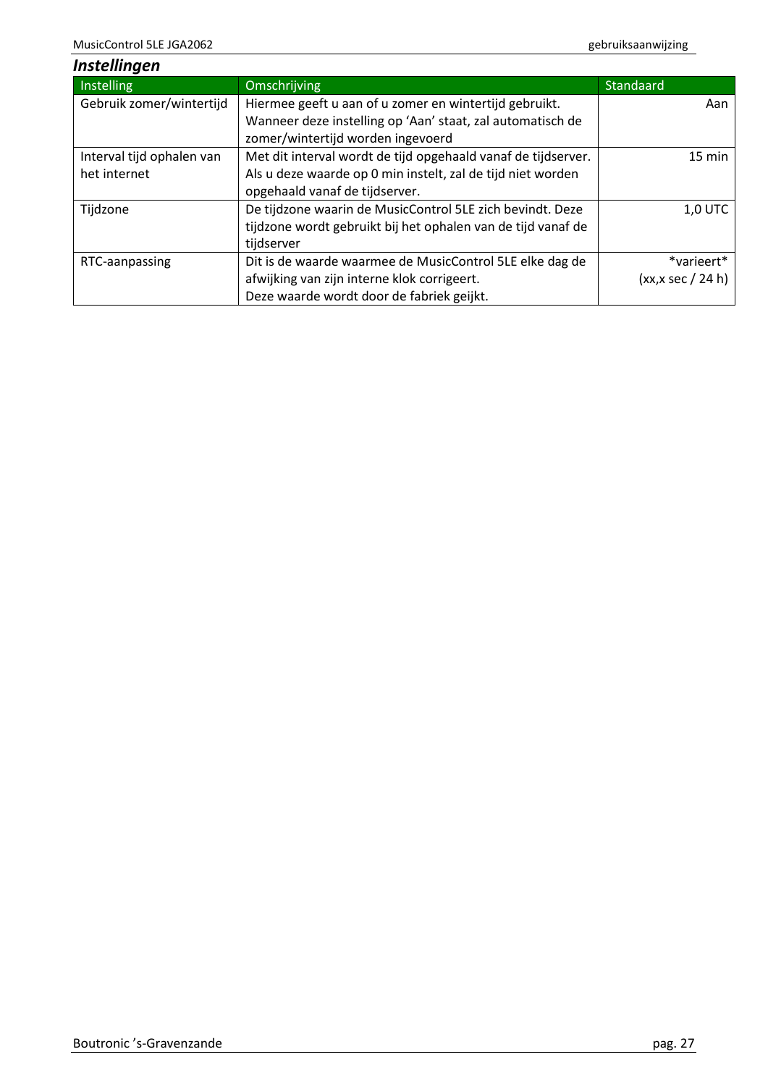<span id="page-26-0"></span>

| <b>Instellingen</b>       |                                                               |                       |
|---------------------------|---------------------------------------------------------------|-----------------------|
| Instelling                | Omschrijving                                                  | <b>Standaard</b>      |
| Gebruik zomer/wintertijd  | Hiermee geeft u aan of u zomer en wintertijd gebruikt.        | Aan                   |
|                           | Wanneer deze instelling op 'Aan' staat, zal automatisch de    |                       |
|                           | zomer/wintertijd worden ingevoerd                             |                       |
| Interval tijd ophalen van | Met dit interval wordt de tijd opgehaald vanaf de tijdserver. | 15 min                |
| het internet              | Als u deze waarde op 0 min instelt, zal de tijd niet worden   |                       |
|                           | opgehaald vanaf de tijdserver.                                |                       |
| Tijdzone                  | De tijdzone waarin de MusicControl 5LE zich bevindt. Deze     | <b>1,0 UTC</b>        |
|                           | tijdzone wordt gebruikt bij het ophalen van de tijd vanaf de  |                       |
|                           | tijdserver                                                    |                       |
| RTC-aanpassing            | Dit is de waarde waarmee de MusicControl 5LE elke dag de      | *varieert*            |
|                           | afwijking van zijn interne klok corrigeert.                   | $(xx, x \sec / 24 h)$ |
|                           | Deze waarde wordt door de fabriek geijkt.                     |                       |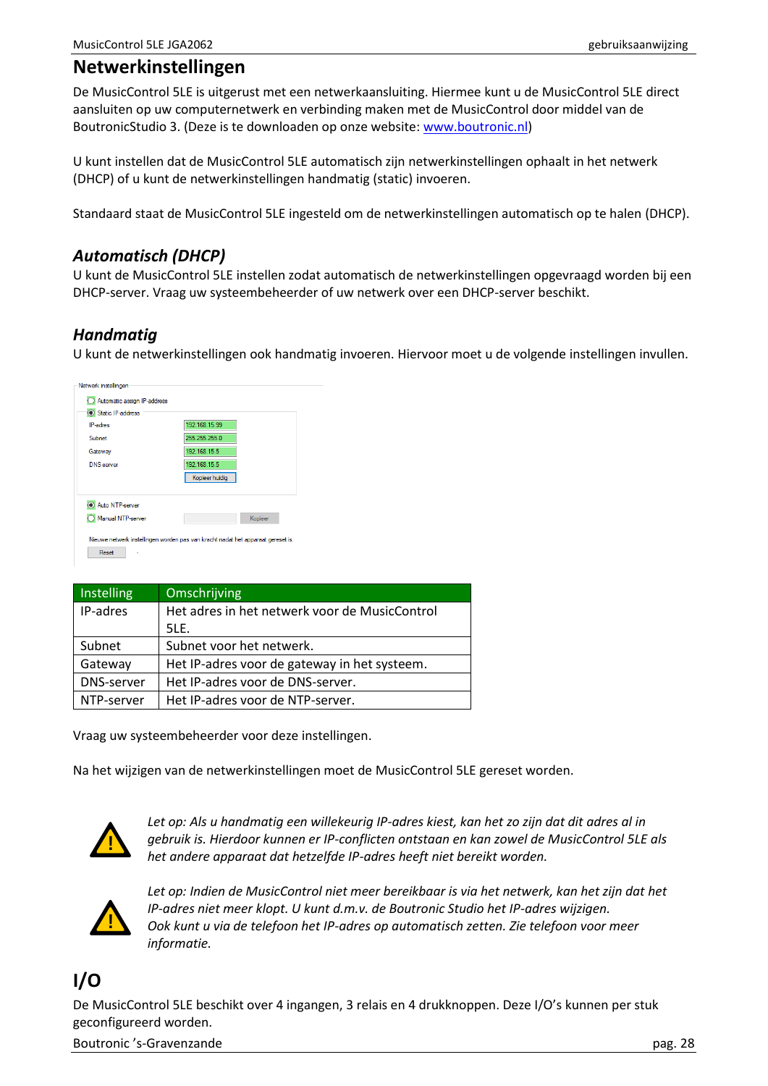# <span id="page-27-0"></span>**Netwerkinstellingen**

De MusicControl 5LE is uitgerust met een netwerkaansluiting. Hiermee kunt u de MusicControl 5LE direct aansluiten op uw computernetwerk en verbinding maken met de MusicControl door middel van de BoutronicStudio 3. (Deze is te downloaden op onze website: [www.boutronic.nl\)](http://www.boutronic.nl/)

U kunt instellen dat de MusicControl 5LE automatisch zijn netwerkinstellingen ophaalt in het netwerk (DHCP) of u kunt de netwerkinstellingen handmatig (static) invoeren.

Standaard staat de MusicControl 5LE ingesteld om de netwerkinstellingen automatisch op te halen (DHCP).

## <span id="page-27-1"></span>*Automatisch (DHCP)*

U kunt de MusicControl 5LE instellen zodat automatisch de netwerkinstellingen opgevraagd worden bij een DHCP-server. Vraag uw systeembeheerder of uw netwerk over een DHCP-server beschikt.

# <span id="page-27-2"></span>*Handmatig*

U kunt de netwerkinstellingen ook handmatig invoeren. Hiervoor moet u de volgende instellingen invullen.

| Static IP-address<br><b>IP-adres</b> | 192.168.15.99  |
|--------------------------------------|----------------|
| Subnet                               | 255.255.255.0  |
| Gateway                              | 192.168.15.5   |
| <b>DNS-server</b>                    | 192.168.15.5   |
|                                      | Kopieer huidig |
| Auto NTP-server                      |                |
| Manual NTP-server                    | Kopjëer        |

| <b>Instelling</b> | <b>Omschrijving</b>                           |
|-------------------|-----------------------------------------------|
| IP-adres          | Het adres in het netwerk voor de MusicControl |
|                   | SLE.                                          |
| Subnet            | Subnet voor het netwerk.                      |
| Gateway           | Het IP-adres voor de gateway in het systeem.  |
| <b>DNS-server</b> | Het IP-adres voor de DNS-server.              |
| NTP-server        | Het IP-adres voor de NTP-server.              |

Vraag uw systeembeheerder voor deze instellingen.

Na het wijzigen van de netwerkinstellingen moet de MusicControl 5LE gereset worden.



*Let op: Als u handmatig een willekeurig IP-adres kiest, kan het zo zijn dat dit adres al in gebruik is. Hierdoor kunnen er IP-conflicten ontstaan en kan zowel de MusicControl 5LE als het andere apparaat dat hetzelfde IP-adres heeft niet bereikt worden.*



*Let op: Indien de MusicControl niet meer bereikbaar is via het netwerk, kan het zijn dat het IP-adres niet meer klopt. U kunt d.m.v. de Boutronic Studio het IP-adres wijzigen. Ook kunt u via de telefoon het IP-adres op automatisch zetten. Zie telefoon voor meer informatie.*

# <span id="page-27-3"></span>**I/O**

De MusicControl 5LE beschikt over 4 ingangen, 3 relais en 4 drukknoppen. Deze I/O's kunnen per stuk geconfigureerd worden.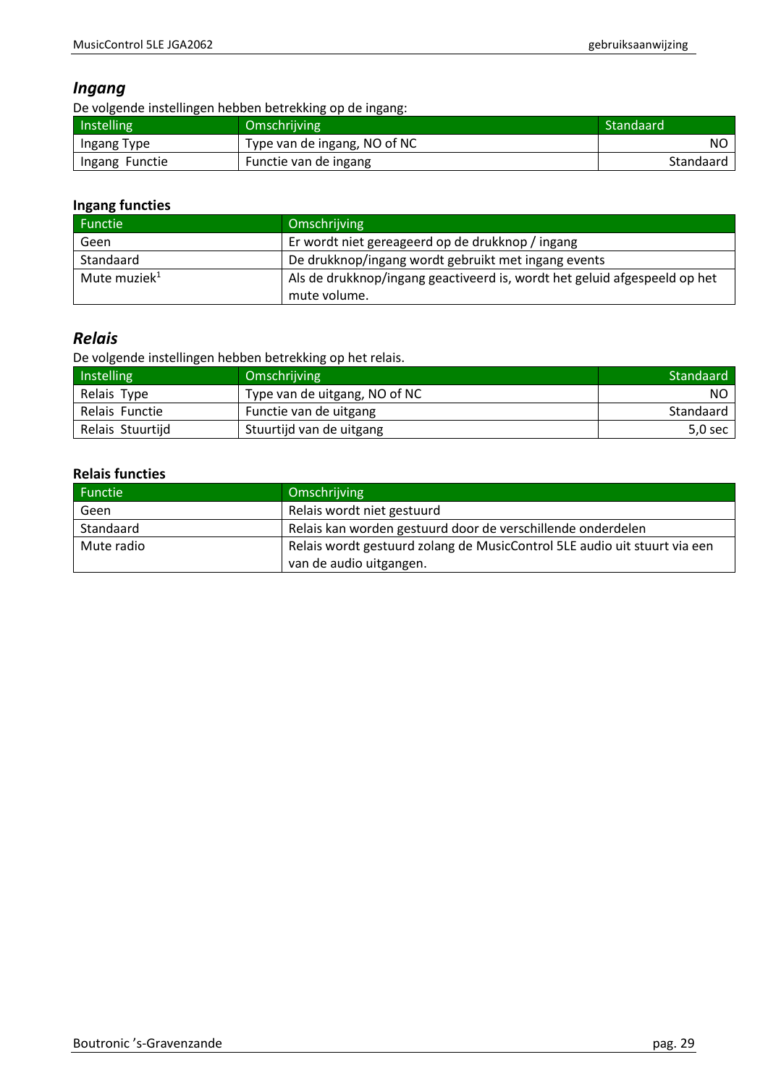## <span id="page-28-0"></span>*Ingang*

De volgende instellingen hebben betrekking op de ingang:

| Instelling     | <b>Omschrijving</b>          | Standaard |
|----------------|------------------------------|-----------|
| Ingang Type    | Type van de ingang, NO of NC | NO.       |
| Ingang Functie | Functie van de ingang        | Standaard |

### **Ingang functies**

| <b>Functie</b>           | Omschrijving                                                              |
|--------------------------|---------------------------------------------------------------------------|
| Geen                     | Er wordt niet gereageerd op de drukknop / ingang                          |
| Standaard                | De drukknop/ingang wordt gebruikt met ingang events                       |
| Mute muziek <sup>1</sup> | Als de drukknop/ingang geactiveerd is, wordt het geluid afgespeeld op het |
|                          | mute volume.                                                              |

# <span id="page-28-1"></span>*Relais*

De volgende instellingen hebben betrekking op het relais.

| Instelling       | Omschrijving                  | Standaard                          |
|------------------|-------------------------------|------------------------------------|
| Relais Type      | Type van de uitgang, NO of NC | NO.                                |
| Relais Functie   | Functie van de uitgang        | Standaard                          |
| Relais Stuurtijd | Stuurtijd van de uitgang      | $5.0$ sec $\overline{\phantom{a}}$ |

### **Relais functies**

| Functie    | Omschrijving                                                              |
|------------|---------------------------------------------------------------------------|
| Geen       | Relais wordt niet gestuurd                                                |
| Standaard  | Relais kan worden gestuurd door de verschillende onderdelen               |
| Mute radio | Relais wordt gestuurd zolang de MusicControl 5LE audio uit stuurt via een |
|            | van de audio uitgangen.                                                   |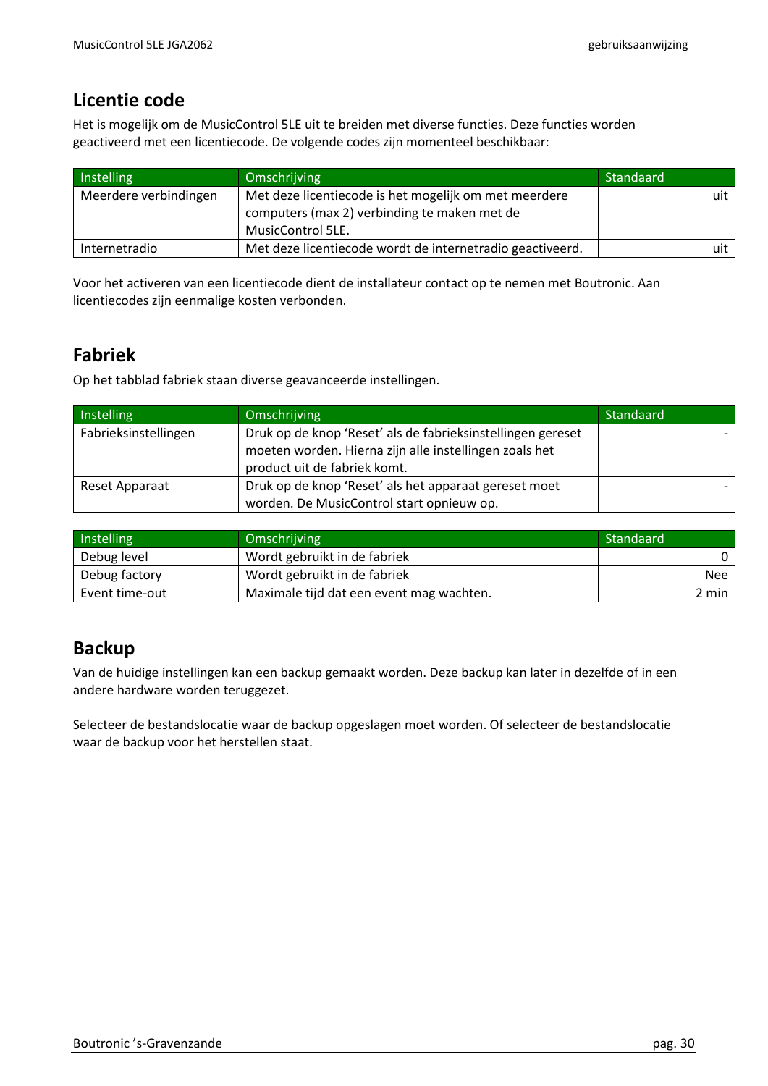# <span id="page-29-0"></span>**Licentie code**

Het is mogelijk om de MusicControl 5LE uit te breiden met diverse functies. Deze functies worden geactiveerd met een licentiecode. De volgende codes zijn momenteel beschikbaar:

| Instelling            | Omschrijving                                                                                                               | Standaard |
|-----------------------|----------------------------------------------------------------------------------------------------------------------------|-----------|
| Meerdere verbindingen | Met deze licentiecode is het mogelijk om met meerdere<br>computers (max 2) verbinding te maken met de<br>MusicControl 5LE. | uit       |
| Internetradio         | Met deze licentiecode wordt de internetradio geactiveerd.                                                                  | uit       |

Voor het activeren van een licentiecode dient de installateur contact op te nemen met Boutronic. Aan licentiecodes zijn eenmalige kosten verbonden.

# <span id="page-29-1"></span>**Fabriek**

Op het tabblad fabriek staan diverse geavanceerde instellingen.

| Instelling           | Omschrijving                                                | Standaard |
|----------------------|-------------------------------------------------------------|-----------|
| Fabrieksinstellingen | Druk op de knop 'Reset' als de fabrieksinstellingen gereset |           |
|                      | moeten worden. Hierna zijn alle instellingen zoals het      |           |
|                      | product uit de fabriek komt.                                |           |
| Reset Apparaat       | Druk op de knop 'Reset' als het apparaat gereset moet       |           |
|                      | worden. De MusicControl start opnieuw op.                   |           |

| Instelling     | Omschrijving                             | Standaard  |
|----------------|------------------------------------------|------------|
| Debug level    | Wordt gebruikt in de fabriek             |            |
| Debug factory  | Wordt gebruikt in de fabriek             | <b>Nee</b> |
| Event time-out | Maximale tijd dat een event mag wachten. | 2 min      |

# <span id="page-29-2"></span>**Backup**

Van de huidige instellingen kan een backup gemaakt worden. Deze backup kan later in dezelfde of in een andere hardware worden teruggezet.

Selecteer de bestandslocatie waar de backup opgeslagen moet worden. Of selecteer de bestandslocatie waar de backup voor het herstellen staat.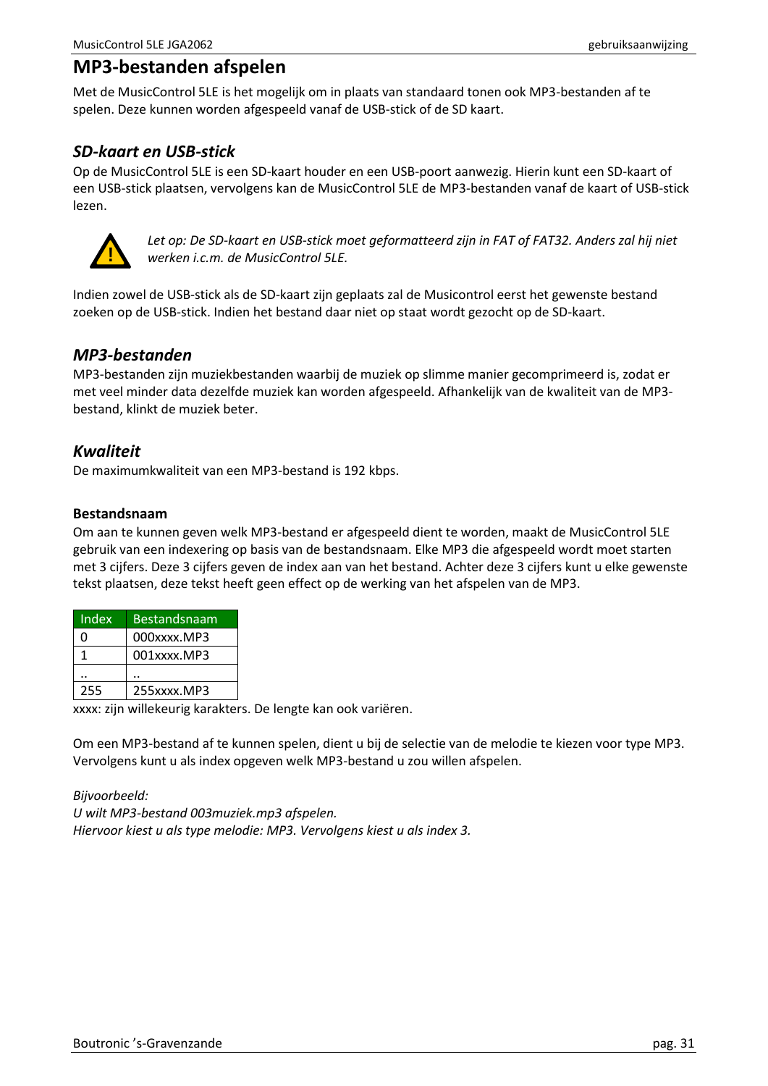# <span id="page-30-0"></span>**MP3-bestanden afspelen**

Met de MusicControl 5LE is het mogelijk om in plaats van standaard tonen ook MP3-bestanden af te spelen. Deze kunnen worden afgespeeld vanaf de USB-stick of de SD kaart.

# <span id="page-30-1"></span>*SD-kaart en USB-stick*

Op de MusicControl 5LE is een SD-kaart houder en een USB-poort aanwezig. Hierin kunt een SD-kaart of een USB-stick plaatsen, vervolgens kan de MusicControl 5LE de MP3-bestanden vanaf de kaart of USB-stick lezen.



*Let op: De SD-kaart en USB-stick moet geformatteerd zijn in FAT of FAT32. Anders zal hij niet werken i.c.m. de MusicControl 5LE.*

Indien zowel de USB-stick als de SD-kaart zijn geplaats zal de Musicontrol eerst het gewenste bestand zoeken op de USB-stick. Indien het bestand daar niet op staat wordt gezocht op de SD-kaart.

## <span id="page-30-2"></span>*MP3-bestanden*

MP3-bestanden zijn muziekbestanden waarbij de muziek op slimme manier gecomprimeerd is, zodat er met veel minder data dezelfde muziek kan worden afgespeeld. Afhankelijk van de kwaliteit van de MP3 bestand, klinkt de muziek beter.

## <span id="page-30-3"></span>*Kwaliteit*

De maximumkwaliteit van een MP3-bestand is 192 kbps.

#### **Bestandsnaam**

Om aan te kunnen geven welk MP3-bestand er afgespeeld dient te worden, maakt de MusicControl 5LE gebruik van een indexering op basis van de bestandsnaam. Elke MP3 die afgespeeld wordt moet starten met 3 cijfers. Deze 3 cijfers geven de index aan van het bestand. Achter deze 3 cijfers kunt u elke gewenste tekst plaatsen, deze tekst heeft geen effect op de werking van het afspelen van de MP3.

| Index | Bestandsnaam |
|-------|--------------|
| n     | 000xxxx.MP3  |
|       | 001xxxx.MP3  |
|       |              |
| 255   | 255xxxx.MP3  |

xxxx: zijn willekeurig karakters. De lengte kan ook variëren.

Om een MP3-bestand af te kunnen spelen, dient u bij de selectie van de melodie te kiezen voor type MP3. Vervolgens kunt u als index opgeven welk MP3-bestand u zou willen afspelen.

*Bijvoorbeeld: U wilt MP3-bestand 003muziek.mp3 afspelen. Hiervoor kiest u als type melodie: MP3. Vervolgens kiest u als index 3.*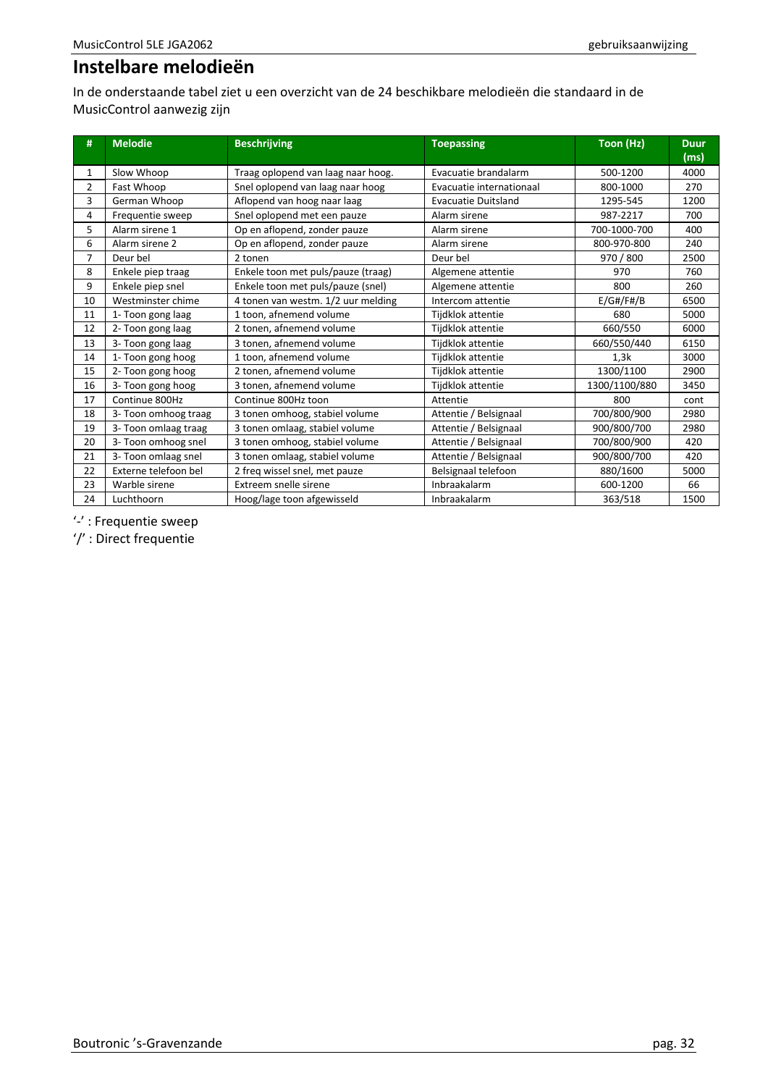# <span id="page-31-0"></span>**Instelbare melodieën**

In de onderstaande tabel ziet u een overzicht van de 24 beschikbare melodieën die standaard in de MusicControl aanwezig zijn

| #              | <b>Melodie</b>       | <b>Beschrijving</b>                | <b>Toepassing</b>          | Toon (Hz)     | <b>Duur</b><br>(ms) |
|----------------|----------------------|------------------------------------|----------------------------|---------------|---------------------|
| 1              | Slow Whoop           | Traag oplopend van laag naar hoog. | Evacuatie brandalarm       | 500-1200      | 4000                |
| $\overline{2}$ | Fast Whoop           | Snel oplopend van laag naar hoog   | Evacuatie internationaal   | 800-1000      | 270                 |
| 3              | German Whoop         | Aflopend van hoog naar laag        | <b>Evacuatie Duitsland</b> | 1295-545      | 1200                |
| 4              | Frequentie sweep     | Snel oplopend met een pauze        | Alarm sirene               | 987-2217      | 700                 |
| 5              | Alarm sirene 1       | Op en aflopend, zonder pauze       | Alarm sirene               | 700-1000-700  | 400                 |
| 6              | Alarm sirene 2       | Op en aflopend, zonder pauze       | Alarm sirene               | 800-970-800   | 240                 |
| 7              | Deur bel             | 2 tonen                            | Deur bel                   | 970 / 800     | 2500                |
| 8              | Enkele piep traag    | Enkele toon met puls/pauze (traag) | Algemene attentie          | 970           | 760                 |
| 9              | Enkele piep snel     | Enkele toon met puls/pauze (snel)  | Algemene attentie          | 800           | 260                 |
| 10             | Westminster chime    | 4 tonen van westm. 1/2 uur melding | Intercom attentie          | E/G#/F#/B     | 6500                |
| 11             | 1- Toon gong laag    | 1 toon, afnemend volume            | Tijdklok attentie          | 680           | 5000                |
| 12             | 2- Toon gong laag    | 2 tonen, afnemend volume           | Tijdklok attentie          | 660/550       | 6000                |
| 13             | 3- Toon gong laag    | 3 tonen, afnemend volume           | Tijdklok attentie          | 660/550/440   | 6150                |
| 14             | 1- Toon gong hoog    | 1 toon, afnemend volume            | Tijdklok attentie          | 1,3k          | 3000                |
| 15             | 2- Toon gong hoog    | 2 tonen, afnemend volume           | Tijdklok attentie          | 1300/1100     | 2900                |
| 16             | 3- Toon gong hoog    | 3 tonen, afnemend volume           | Tijdklok attentie          | 1300/1100/880 | 3450                |
| 17             | Continue 800Hz       | Continue 800Hz toon                | Attentie                   | 800           | cont                |
| 18             | 3- Toon omhoog traag | 3 tonen omhoog, stabiel volume     | Attentie / Belsignaal      | 700/800/900   | 2980                |
| 19             | 3- Toon omlaag traag | 3 tonen omlaag, stabiel volume     | Attentie / Belsignaal      | 900/800/700   | 2980                |
| 20             | 3- Toon omhoog snel  | 3 tonen omhoog, stabiel volume     | Attentie / Belsignaal      | 700/800/900   | 420                 |
| 21             | 3- Toon omlaag snel  | 3 tonen omlaag, stabiel volume     | Attentie / Belsignaal      | 900/800/700   | 420                 |
| 22             | Externe telefoon bel | 2 freq wissel snel, met pauze      | Belsignaal telefoon        | 880/1600      | 5000                |
| 23             | Warble sirene        | <b>Extreem snelle sirene</b>       | Inbraakalarm               | 600-1200      | 66                  |
| 24             | Luchthoorn           | Hoog/lage toon afgewisseld         | Inbraakalarm               | 363/518       | 1500                |

'-' : Frequentie sweep

'/' : Direct frequentie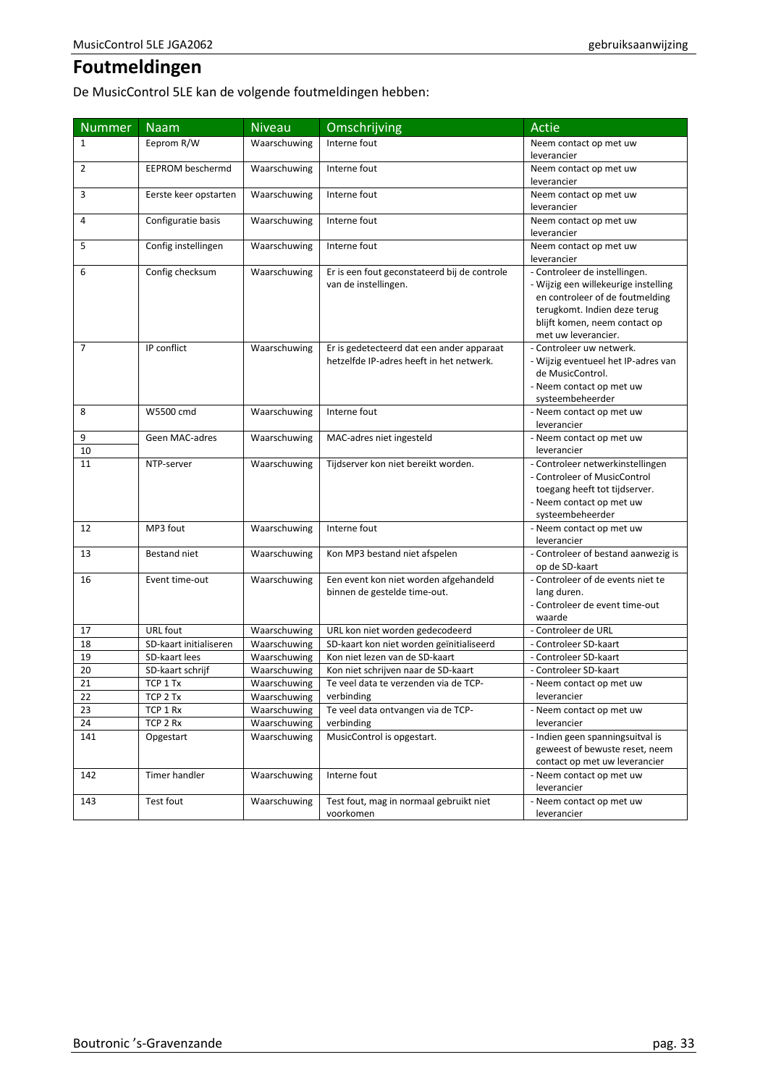# <span id="page-32-0"></span>**Foutmeldingen**

De MusicControl 5LE kan de volgende foutmeldingen hebben:

| <b>Nummer</b> | <b>Naam</b>             | <b>Niveau</b> | Omschrijving                                                         | Actie                                                                 |
|---------------|-------------------------|---------------|----------------------------------------------------------------------|-----------------------------------------------------------------------|
| 1             | Eeprom R/W              | Waarschuwing  | Interne fout                                                         | Neem contact op met uw                                                |
|               |                         |               |                                                                      | leverancier                                                           |
| 2             | <b>EEPROM beschermd</b> | Waarschuwing  | Interne fout                                                         | Neem contact op met uw                                                |
|               |                         |               |                                                                      | leverancier                                                           |
| 3             | Eerste keer opstarten   | Waarschuwing  | Interne fout                                                         | Neem contact op met uw                                                |
|               |                         |               |                                                                      | leverancier                                                           |
| 4             | Configuratie basis      | Waarschuwing  | Interne fout                                                         | Neem contact op met uw                                                |
|               |                         |               |                                                                      | leverancier                                                           |
| 5             | Config instellingen     | Waarschuwing  | Interne fout                                                         | Neem contact op met uw                                                |
|               |                         |               |                                                                      | leverancier                                                           |
| 6             | Config checksum         | Waarschuwing  | Er is een fout geconstateerd bij de controle<br>van de instellingen. | - Controleer de instellingen.<br>- Wijzig een willekeurige instelling |
|               |                         |               |                                                                      | en controleer of de foutmelding                                       |
|               |                         |               |                                                                      | terugkomt. Indien deze terug                                          |
|               |                         |               |                                                                      | blijft komen, neem contact op                                         |
|               |                         |               |                                                                      | met uw leverancier.                                                   |
| 7             | IP conflict             | Waarschuwing  | Er is gedetecteerd dat een ander apparaat                            | - Controleer uw netwerk.                                              |
|               |                         |               | hetzelfde IP-adres heeft in het netwerk.                             | - Wijzig eventueel het IP-adres van                                   |
|               |                         |               |                                                                      | de MusicControl.                                                      |
|               |                         |               |                                                                      | - Neem contact op met uw                                              |
|               |                         |               |                                                                      | systeembeheerder                                                      |
| 8             | W5500 cmd               | Waarschuwing  | Interne fout                                                         | - Neem contact op met uw                                              |
|               |                         |               |                                                                      | leverancier                                                           |
| 9             | Geen MAC-adres          | Waarschuwing  | MAC-adres niet ingesteld                                             | - Neem contact op met uw                                              |
| 10            |                         |               |                                                                      | leverancier                                                           |
| 11            | NTP-server              | Waarschuwing  | Tijdserver kon niet bereikt worden.                                  | - Controleer netwerkinstellingen                                      |
|               |                         |               |                                                                      | - Controleer of MusicControl                                          |
|               |                         |               |                                                                      | toegang heeft tot tijdserver.                                         |
|               |                         |               |                                                                      | - Neem contact op met uw                                              |
| 12            | MP3 fout                |               | Interne fout                                                         | systeembeheerder                                                      |
|               |                         | Waarschuwing  |                                                                      | - Neem contact op met uw<br>leverancier                               |
| 13            | Bestand niet            | Waarschuwing  | Kon MP3 bestand niet afspelen                                        | - Controleer of bestand aanwezig is                                   |
|               |                         |               |                                                                      | op de SD-kaart                                                        |
| 16            | Event time-out          | Waarschuwing  | Een event kon niet worden afgehandeld                                | - Controleer of de events niet te                                     |
|               |                         |               | binnen de gestelde time-out.                                         | lang duren.                                                           |
|               |                         |               |                                                                      | - Controleer de event time-out                                        |
|               |                         |               |                                                                      | waarde                                                                |
| 17            | URL fout                | Waarschuwing  | URL kon niet worden gedecodeerd                                      | - Controleer de URL                                                   |
| 18            | SD-kaart initialiseren  | Waarschuwing  | SD-kaart kon niet worden geïnitialiseerd                             | - Controleer SD-kaart                                                 |
| 19            | SD-kaart lees           | Waarschuwing  | Kon niet lezen van de SD-kaart                                       | - Controleer SD-kaart                                                 |
| 20            | SD-kaart schrijf        | Waarschuwing  | Kon niet schrijven naar de SD-kaart                                  | - Controleer SD-kaart                                                 |
| 21            | TCP 1 Tx                | Waarschuwing  | Te veel data te verzenden via de TCP-                                | - Neem contact op met uw                                              |
| 22            | TCP 2 Tx                | Waarschuwing  | verbinding                                                           | leverancier                                                           |
| 23            | TCP 1 Rx                | Waarschuwing  | Te veel data ontvangen via de TCP-                                   | - Neem contact op met uw                                              |
| 24            | TCP 2 Rx                | Waarschuwing  | verbinding                                                           | leverancier                                                           |
| 141           | Opgestart               | Waarschuwing  | MusicControl is opgestart.                                           | - Indien geen spanningsuitval is                                      |
|               |                         |               |                                                                      | geweest of bewuste reset, neem                                        |
|               |                         |               |                                                                      | contact op met uw leverancier                                         |
| 142           | Timer handler           | Waarschuwing  | Interne fout                                                         | - Neem contact op met uw                                              |
|               |                         |               |                                                                      | leverancier                                                           |
| 143           | Test fout               | Waarschuwing  | Test fout, mag in normaal gebruikt niet                              | - Neem contact op met uw                                              |
|               |                         |               | voorkomen                                                            | leverancier                                                           |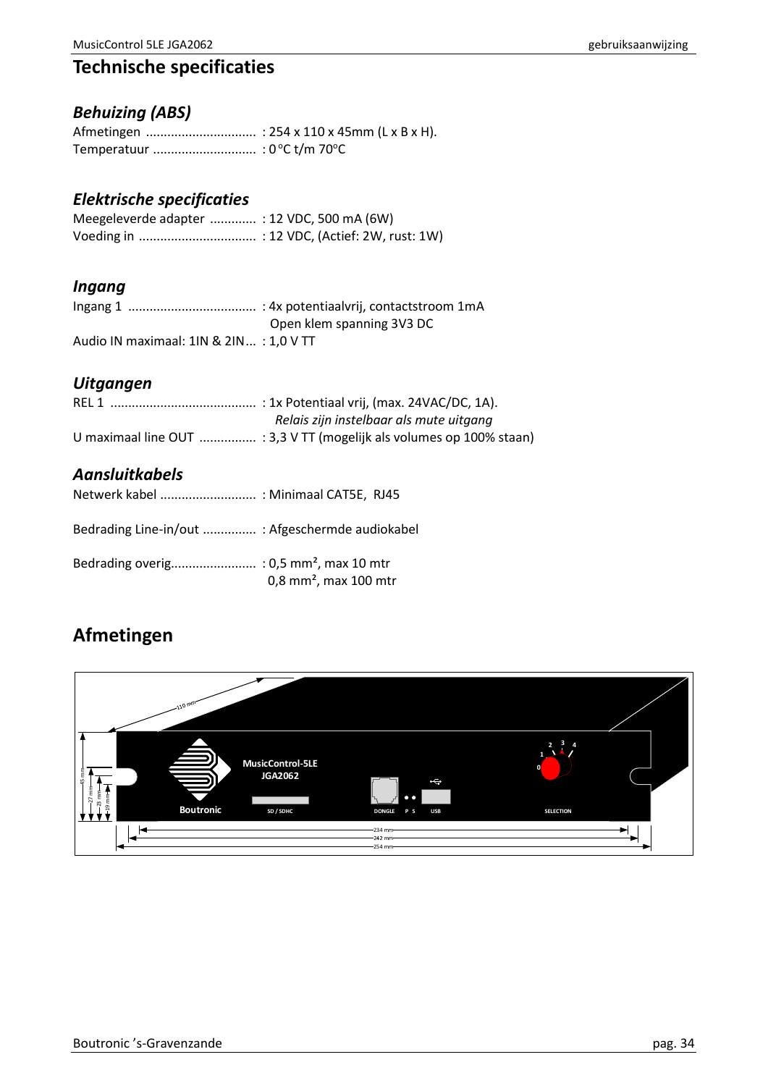# <span id="page-33-0"></span>**Technische specificaties**

# <span id="page-33-1"></span>*Behuizing (ABS)*

# <span id="page-33-2"></span>*Elektrische specificaties*

| Meegeleverde adapter  : 12 VDC, 500 mA (6W) |  |
|---------------------------------------------|--|
|                                             |  |

# <span id="page-33-3"></span>*Ingang*

|                                        | Open klem spanning 3V3 DC |
|----------------------------------------|---------------------------|
| Audio IN maximaal: 1IN & 2IN: 1,0 V TT |                           |

# <span id="page-33-4"></span>*Uitgangen*

| Relais zijn instelbaar als mute uitgang                              |
|----------------------------------------------------------------------|
| U maximaal line OUT  : 3,3 V TT (mogelijk als volumes op 100% staan) |

# <span id="page-33-5"></span>*Aansluitkabels*

| Netwerk kabel  : Minimaal CAT5E, RJ45            |                                     |
|--------------------------------------------------|-------------------------------------|
| Bedrading Line-in/out  : Afgeschermde audiokabel |                                     |
|                                                  | $0.8$ mm <sup>2</sup> , max 100 mtr |

# <span id="page-33-6"></span>**Afmetingen**

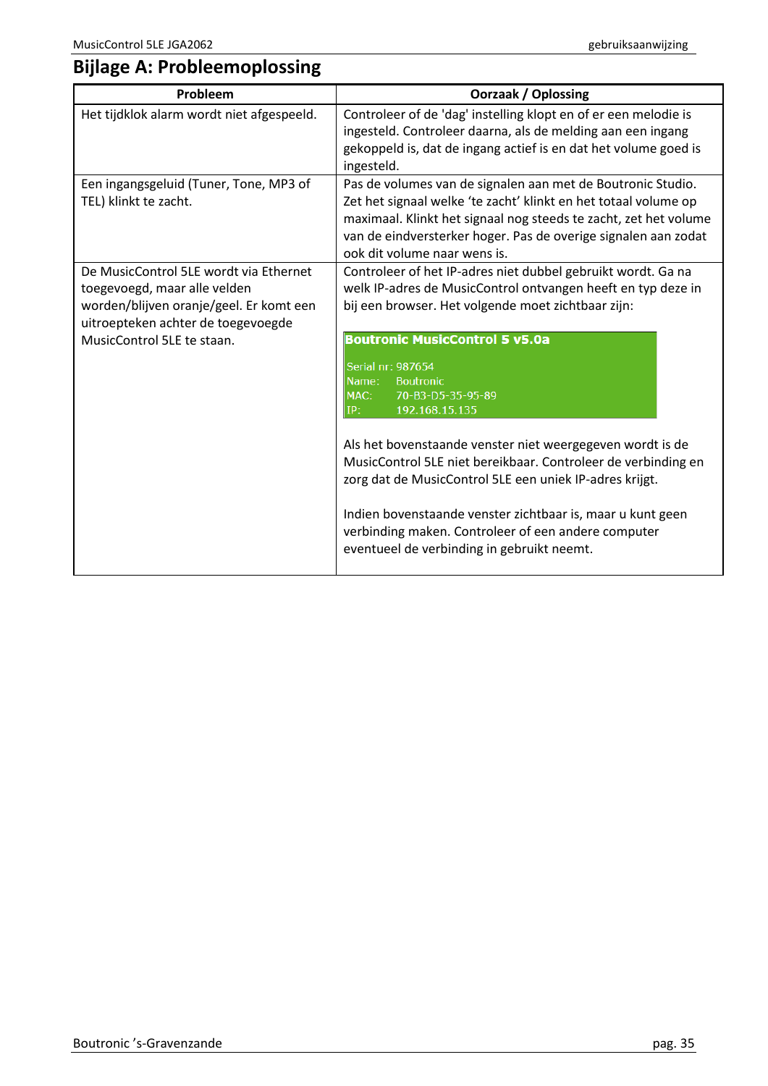# <span id="page-34-0"></span>**Bijlage A: Probleemoplossing**

| Probleem                                                                                                                                                                              | <b>Oorzaak / Oplossing</b>                                                                                                                                                                                                                                                                                                                                                                                                                  |  |
|---------------------------------------------------------------------------------------------------------------------------------------------------------------------------------------|---------------------------------------------------------------------------------------------------------------------------------------------------------------------------------------------------------------------------------------------------------------------------------------------------------------------------------------------------------------------------------------------------------------------------------------------|--|
| Het tijdklok alarm wordt niet afgespeeld.                                                                                                                                             | Controleer of de 'dag' instelling klopt en of er een melodie is<br>ingesteld. Controleer daarna, als de melding aan een ingang<br>gekoppeld is, dat de ingang actief is en dat het volume goed is<br>ingesteld.                                                                                                                                                                                                                             |  |
| Een ingangsgeluid (Tuner, Tone, MP3 of<br>TEL) klinkt te zacht.                                                                                                                       | Pas de volumes van de signalen aan met de Boutronic Studio.<br>Zet het signaal welke 'te zacht' klinkt en het totaal volume op<br>maximaal. Klinkt het signaal nog steeds te zacht, zet het volume<br>van de eindversterker hoger. Pas de overige signalen aan zodat<br>ook dit volume naar wens is.                                                                                                                                        |  |
| De MusicControl 5LE wordt via Ethernet<br>toegevoegd, maar alle velden<br>worden/blijven oranje/geel. Er komt een<br>uitroepteken achter de toegevoegde<br>MusicControl 5LE te staan. | Controleer of het IP-adres niet dubbel gebruikt wordt. Ga na<br>welk IP-adres de MusicControl ontvangen heeft en typ deze in<br>bij een browser. Het volgende moet zichtbaar zijn:<br><b>Boutronic MusicControl 5 v5.0a</b><br>Serial nr: 987654                                                                                                                                                                                            |  |
|                                                                                                                                                                                       | Name:<br><b>Boutronic</b><br>MAC:<br>70-B3-D5-35-95-89<br>192.168.15.135<br>IP:<br>Als het bovenstaande venster niet weergegeven wordt is de<br>MusicControl 5LE niet bereikbaar. Controleer de verbinding en<br>zorg dat de MusicControl 5LE een uniek IP-adres krijgt.<br>Indien bovenstaande venster zichtbaar is, maar u kunt geen<br>verbinding maken. Controleer of een andere computer<br>eventueel de verbinding in gebruikt neemt. |  |